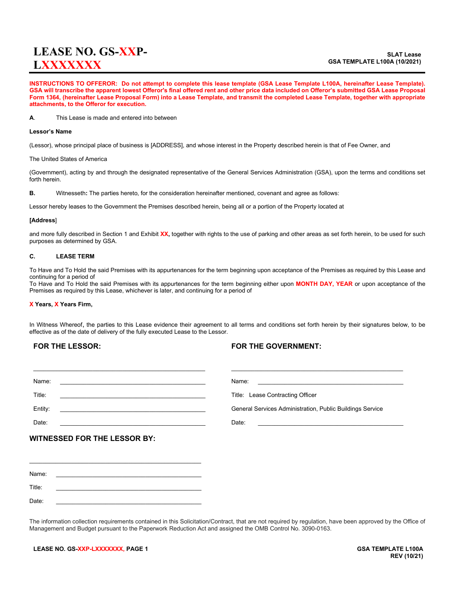# **LEASE NO. GS-XXP-LXXXXXXX**

**INSTRUCTIONS TO OFFEROR: Do not attempt to complete this lease template (GSA Lease Template L100A, hereinafter Lease Template). GSA will transcribe the apparent lowest Offeror's final offered rent and other price data included on Offeror's submitted GSA Lease Proposal Form 1364, (hereinafter Lease Proposal Form) into a Lease Template, and transmit the completed Lease Template, together with appropriate attachments, to the Offeror for execution.**

**A**. This Lease is made and entered into between

#### **Lessor's Name**

(Lessor), whose principal place of business is [ADDRESS], and whose interest in the Property described herein is that of Fee Owner, and

The United States of America

(Government), acting by and through the designated representative of the General Services Administration (GSA), upon the terms and conditions set forth herein.

**B.** Witnesseth**:** The parties hereto, for the consideration hereinafter mentioned, covenant and agree as follows:

Lessor hereby leases to the Government the Premises described herein, being all or a portion of the Property located at

#### **[Address**]

and more fully described in Section 1 and Exhibit **XX,** together with rights to the use of parking and other areas as set forth herein, to be used for such purposes as determined by GSA.

### **C. LEASE TERM**

To Have and To Hold the said Premises with its appurtenances for the term beginning upon acceptance of the Premises as required by this Lease and continuing for a period of

To Have and To Hold the said Premises with its appurtenances for the term beginning either upon **MONTH DAY, YEAR** or upon acceptance of the Premises as required by this Lease, whichever is later, and continuing for a period of

#### **X Years, X Years Firm,**

In Witness Whereof, the parties to this Lease evidence their agreement to all terms and conditions set forth herein by their signatures below, to be effective as of the date of delivery of the fully executed Lease to the Lessor.

### **FOR THE LESSOR:**

### **FOR THE GOVERNMENT:**

| Name:                                                                                                                                                                                                                                    | Name:                                                                                                                                                                                                                                  |
|------------------------------------------------------------------------------------------------------------------------------------------------------------------------------------------------------------------------------------------|----------------------------------------------------------------------------------------------------------------------------------------------------------------------------------------------------------------------------------------|
| Title:<br>the contract of the contract of the contract of the contract of the contract of the contract of the contract of                                                                                                                | Title: Lease Contracting Officer                                                                                                                                                                                                       |
| Entity:<br>the control of the control of the control of the control of the control of the control of the control of the control of the control of the control of the control of the control of the control of the control of the control | General Services Administration, Public Buildings Service                                                                                                                                                                              |
| Date:                                                                                                                                                                                                                                    | Date:<br>the control of the control of the control of the control of the control of the control of the control of the control of the control of the control of the control of the control of the control of the control of the control |
| <b>WITNESSED FOR THE LESSOR BY:</b>                                                                                                                                                                                                      |                                                                                                                                                                                                                                        |
|                                                                                                                                                                                                                                          |                                                                                                                                                                                                                                        |
|                                                                                                                                                                                                                                          |                                                                                                                                                                                                                                        |

Name: \_\_\_\_\_\_\_\_\_\_\_\_\_\_\_\_\_\_\_\_\_\_\_\_\_\_\_\_\_\_\_\_\_\_\_\_\_\_\_\_\_\_\_\_ Title: \_\_\_\_\_\_\_\_\_\_\_\_\_\_\_\_\_\_\_\_\_\_\_\_\_\_\_\_\_\_\_\_\_\_\_\_\_\_\_\_\_\_\_\_ Date: \_\_\_\_\_\_\_\_\_\_\_\_\_\_\_\_\_\_\_\_\_\_\_\_\_\_\_\_\_\_\_\_\_\_\_\_\_\_\_\_\_\_\_\_

The information collection requirements contained in this Solicitation/Contract, that are not required by regulation, have been approved by the Office of Management and Budget pursuant to the Paperwork Reduction Act and assigned the OMB Control No. 3090-0163.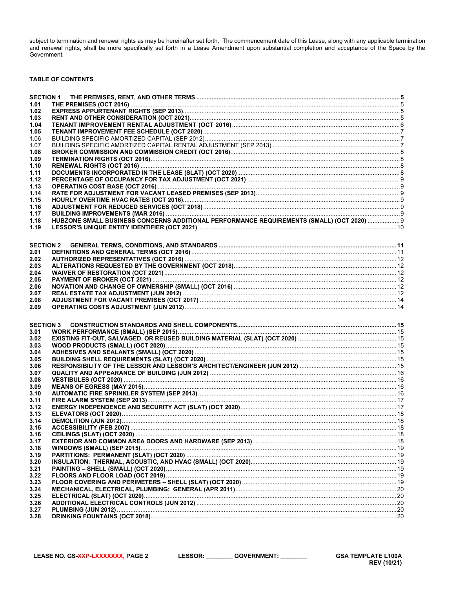subject to termination and renewal rights as may be hereinafter set forth. The commencement date of this Lease, along with any applicable termination<br>and renewal rights, shall be more specifically set forth in a Lease Amen Government.

### **TABLE OF CONTENTS**

| 1.01             |                                                                                           |  |
|------------------|-------------------------------------------------------------------------------------------|--|
| 1.02             |                                                                                           |  |
| 1.03             |                                                                                           |  |
| 1.04             |                                                                                           |  |
| 1.05             |                                                                                           |  |
| 1.06             |                                                                                           |  |
| 1.07             |                                                                                           |  |
| 1.08             |                                                                                           |  |
| 1.09             |                                                                                           |  |
| 1.10             |                                                                                           |  |
| 1.11             |                                                                                           |  |
| 1.12             |                                                                                           |  |
| 1.13             |                                                                                           |  |
| 1.14             |                                                                                           |  |
| 1.15             |                                                                                           |  |
| 1.16             |                                                                                           |  |
| 1.17             |                                                                                           |  |
| 1.18             | HUBZONE SMALL BUSINESS CONCERNS ADDITIONAL PERFORMANCE REQUIREMENTS (SMALL) (OCT 2020)  9 |  |
| 1.19             |                                                                                           |  |
|                  |                                                                                           |  |
| <b>SECTION 2</b> |                                                                                           |  |
| 2.01             |                                                                                           |  |
| 2.02             |                                                                                           |  |
| 2.03             |                                                                                           |  |
| 2.04             |                                                                                           |  |
| 2.05             |                                                                                           |  |
| 2.06             |                                                                                           |  |
| 2.07             |                                                                                           |  |
| 2.08             |                                                                                           |  |
| 2.09             |                                                                                           |  |
|                  |                                                                                           |  |
|                  |                                                                                           |  |
|                  |                                                                                           |  |
| <b>SECTION 3</b> |                                                                                           |  |
| 3.01             |                                                                                           |  |
| 3.02             |                                                                                           |  |
| 3.03             |                                                                                           |  |
| 3.04             |                                                                                           |  |
| 3.05             |                                                                                           |  |
| 3.06             |                                                                                           |  |
| 3.07<br>3.08     |                                                                                           |  |
| 3.09             |                                                                                           |  |
| 3.10             |                                                                                           |  |
| 3.11             |                                                                                           |  |
| 3.12             |                                                                                           |  |
| 3.13             |                                                                                           |  |
| 3.14             |                                                                                           |  |
| 3.15             |                                                                                           |  |
| 3.16             |                                                                                           |  |
| 3.17             |                                                                                           |  |
| 3.18             |                                                                                           |  |
| 3.19             |                                                                                           |  |
| 3.20             |                                                                                           |  |
| 3.21             |                                                                                           |  |
| 3.22             |                                                                                           |  |
| 3.23             |                                                                                           |  |
| 3.24             |                                                                                           |  |
| 3.25             |                                                                                           |  |
| 3.26             |                                                                                           |  |
| 3.27<br>3.28     |                                                                                           |  |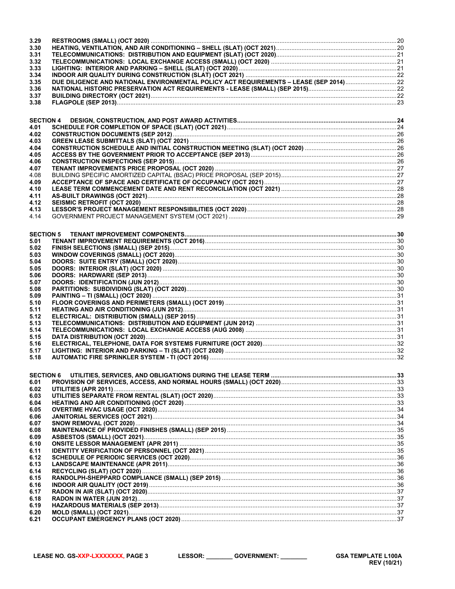| 3.29             |  |
|------------------|--|
| 3.30             |  |
| 3.31             |  |
| 3.32             |  |
| 3.33             |  |
| 3.34             |  |
| 3.35             |  |
| 3.36             |  |
| 3.37             |  |
| 3.38             |  |
|                  |  |
| <b>SECTION 4</b> |  |
| 4.01             |  |
| 4.02             |  |
| 4.03             |  |
| 4.04             |  |
| 4.05             |  |
| 4.06             |  |
| 4.07             |  |
| 4.08             |  |
| 4.09             |  |
| 4.10             |  |
| 4.11             |  |
| 4.12             |  |
| 4.13             |  |
| 4.14             |  |
|                  |  |
| <b>SECTION 5</b> |  |
| 5.01             |  |
| 5.02             |  |
| 5.03             |  |
| 5.04             |  |
| 5.05             |  |
| 5.06             |  |
| 5.07             |  |
| 5.08             |  |
| 5.09             |  |
| 5.10             |  |
| 5.11             |  |
| 5.12             |  |
| 5.13<br>5.14     |  |
| 5.15             |  |
| 5.16             |  |
| 5.17             |  |
| 5.18             |  |
|                  |  |
|                  |  |
| <b>SECTION 6</b> |  |
| 6.01<br>6.02     |  |
|                  |  |
| 6.03<br>6.04     |  |
| 6.05             |  |
| 6.06             |  |
| 6.07             |  |
| 6.08             |  |
| 6.09             |  |
| 6.10             |  |
| 6.11             |  |
| 6.12             |  |
| 6.13             |  |
| 6.14             |  |
| 6.15             |  |
| 6.16             |  |
| 6.17             |  |
| 6.18             |  |
| 6.19             |  |
| 6.20             |  |
| 6.21             |  |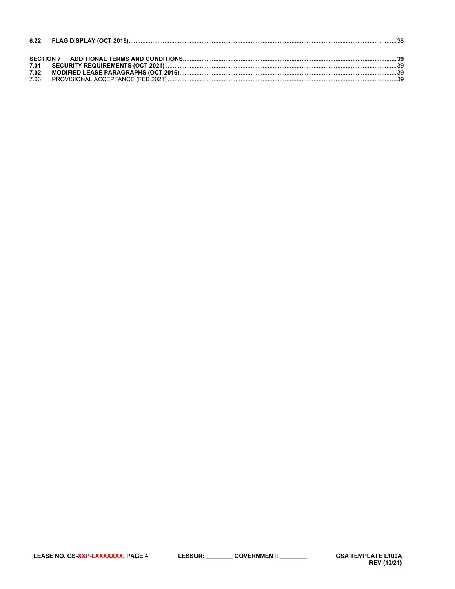| 6.22 |  |
|------|--|
|      |  |
|      |  |
| 7.01 |  |
| 7.02 |  |
| 7.03 |  |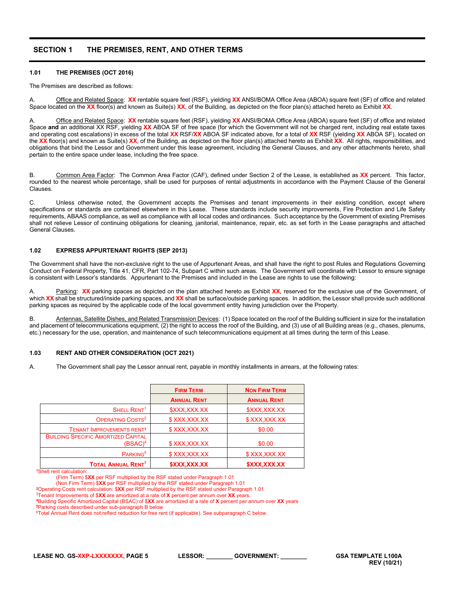# <span id="page-4-0"></span>**SECTION 1 THE PREMISES, RENT, AND OTHER TERMS**

### <span id="page-4-1"></span>**1.01 THE PREMISES (OCT 2016)**

The Premises are described as follows:

A. Office and Related Space: **XX** rentable square feet (RSF), yielding **XX** ANSI/BOMA Office Area (ABOA) square feet (SF) of office and related Space located on the **XX** floor(s) and known as Suite(s) **XX**, of the Building, as depicted on the floor plan(s) attached hereto as Exhibit **XX**.

Office and Related Space: XX rentable square feet (RSF), yielding XX ANSI/BOMA Office Area (ABOA) square feet (SF) of office and related Space **and** an additional XX RSF, yielding **XX** ABOA SF of free space (for which the Government will not be charged rent, including real estate taxes and operating cost escalations) in excess of the total **XX** RSF/**XX** ABOA SF indicated above, for a total of **XX** RSF (yielding **XX** ABOA SF), located on the **XX** floor(s) and known as Suite(s) **XX**, of the Building, as depicted on the floor plan(s) attached hereto as Exhibit **XX**. All rights, responsibilities, and obligations that bind the Lessor and Government under this lease agreement, including the General Clauses, and any other attachments hereto, shall pertain to the entire space under lease, including the free space.

B. Common Area Factor: The Common Area Factor (CAF), defined under Section 2 of the Lease, is established as **XX** percent. This factor, rounded to the nearest whole percentage, shall be used for purposes of rental adjustments in accordance with the Payment Clause of the General Clauses.

C. Unless otherwise noted, the Government accepts the Premises and tenant improvements in their existing condition, except where specifications or standards are contained elsewhere in this Lease. These standards include security improvements, Fire Protection and Life Safety requirements, ABAAS compliance, as well as compliance with all local codes and ordinances. Such acceptance by the Government of existing Premises shall not relieve Lessor of continuing obligations for cleaning, janitorial, maintenance, repair, etc. as set forth in the Lease paragraphs and attached General Clauses.

### <span id="page-4-2"></span>**1.02 EXPRESS APPURTENANT RIGHTS (SEP 2013)**

The Government shall have the non-exclusive right to the use of Appurtenant Areas, and shall have the right to post Rules and Regulations Governing Conduct on Federal Property, Title 41, CFR, Part 102-74, Subpart C within such areas. The Government will coordinate with Lessor to ensure signage is consistent with Lessor's standards. Appurtenant to the Premises and included in the Lease are rights to use the following:

A. Parking: **XX** parking spaces as depicted on the plan attached hereto as Exhibit **XX,** reserved for the exclusive use of the Government, of which **XX** shall be structured/inside parking spaces, and **XX** shall be surface/outside parking spaces. In addition, the Lessor shall provide such additional parking spaces as required by the applicable code of the local government entity having jurisdiction over the Property.

B. Antennas, Satellite Dishes, and Related Transmission Devices: (1) Space located on the roof of the Building sufficient in size for the installation and placement of telecommunications equipment, (2) the right to access the roof of the Building, and (3) use of all Building areas (e.g., chases, plenums, etc.) necessary for the use, operation, and maintenance of such telecommunications equipment at all times during the term of this Lease.

#### <span id="page-4-3"></span>**1.03 RENT AND OTHER CONSIDERATION (OCT 2021)**

A. The Government shall pay the Lessor annual rent, payable in monthly installments in arrears, at the following rates:

|                                                          | <b>FIRM TERM</b>   | <b>NON FIRM TERM</b> |
|----------------------------------------------------------|--------------------|----------------------|
|                                                          | <b>ANNUAL RENT</b> | <b>ANNUAL RENT</b>   |
| SHELL RENT <sup>1</sup>                                  | \$XXX,XXX.XX       | \$XXX,XXX.XX         |
| OPERATING COSTS <sup>2</sup>                             | \$XXX,XXX.XX       | \$XXX,XXX.XX         |
| <b>TENANT IMPROVEMENTS RENT3</b>                         | \$XXX,XXX.XX       | \$0.00               |
| <b>BUILDING SPECIFIC AMORTIZED CAPITAL</b><br>$(BSAC)^4$ | \$XXX,XXX.XX       | \$0.00               |
| PARKING <sup>5</sup>                                     | \$XXX,XXX.XX       | \$XXX,XXX.XX         |
| <b>TOTAL ANNUAL RENT<sup>7</sup></b>                     | \$XXX,XXX.XX       | \$XXX,XXX.XX         |

**<sup>1</sup>**Shell rent calculation:

(Firm Term) \$**XX** per RSF multiplied by the RSF stated under Paragraph 1.01

(Non Firm Term) \$**XX** per RSF multiplied by the RSF stated under Paragraph 1.01

**<sup>2</sup>**Operating Costs rent calculation: \$**XX** per RSF multiplied by the RSF stated under Paragraph 1.01

3Tenant Improvements of \$**XX** are amortized at a rate of **X** percent per annum over **XX** years.

**<sup>4</sup>**Building Specific Amortized Capital (BSAC) of \$**XX** are amortized at a rate of **X** percent per annum over **XX** years

**<sup>5</sup>**Parking costs described under sub-paragraph B below

 $6$ Total Annual Rent does not reflect reduction for free rent (if applicable). See subparagraph C below.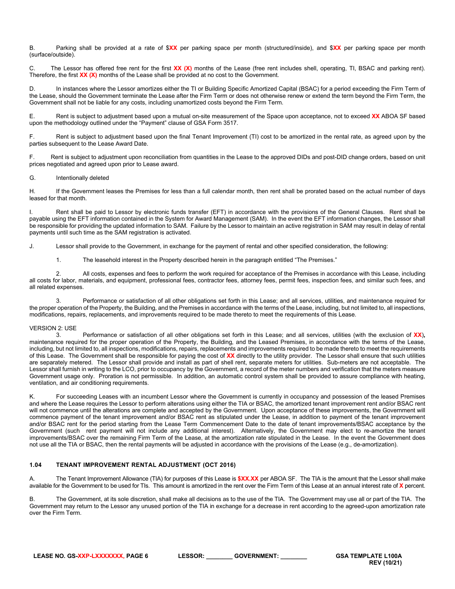B. Parking shall be provided at a rate of \$**XX** per parking space per month (structured/inside), and \$**XX** per parking space per month (surface/outside).

C. The Lessor has offered free rent for the first **XX (X)** months of the Lease (free rent includes shell, operating, TI, BSAC and parking rent). Therefore, the first **XX (X)** months of the Lease shall be provided at no cost to the Government.

D. In instances where the Lessor amortizes either the TI or Building Specific Amortized Capital (BSAC) for a period exceeding the Firm Term of the Lease, should the Government terminate the Lease after the Firm Term or does not otherwise renew or extend the term beyond the Firm Term, the Government shall not be liable for any costs, including unamortized costs beyond the Firm Term.

E. Rent is subject to adjustment based upon a mutual on-site measurement of the Space upon acceptance, not to exceed **XX** ABOA SF based upon the methodology outlined under the "Payment" clause of GSA Form 3517.

F. Rent is subject to adjustment based upon the final Tenant Improvement (TI) cost to be amortized in the rental rate, as agreed upon by the parties subsequent to the Lease Award Date.

F. Rent is subject to adjustment upon reconciliation from quantities in the Lease to the approved DIDs and post-DID change orders, based on unit prices negotiated and agreed upon prior to Lease award.

### G. Intentionally deleted

H. If the Government leases the Premises for less than a full calendar month, then rent shall be prorated based on the actual number of days leased for that month.

I. Rent shall be paid to Lessor by electronic funds transfer (EFT) in accordance with the provisions of the General Clauses. Rent shall be payable using the EFT information contained in the System for Award Management (SAM). In the event the EFT information changes, the Lessor shall be responsible for providing the updated information to SAM. Failure by the Lessor to maintain an active registration in SAM may result in delay of rental payments until such time as the SAM registration is activated.

J. Lessor shall provide to the Government, in exchange for the payment of rental and other specified consideration, the following:

1. The leasehold interest in the Property described herein in the paragraph entitled "The Premises."

2. All costs, expenses and fees to perform the work required for acceptance of the Premises in accordance with this Lease, including all costs for labor, materials, and equipment, professional fees, contractor fees, attorney fees, permit fees, inspection fees, and similar such fees, and all related expenses.

3. Performance or satisfaction of all other obligations set forth in this Lease; and all services, utilities, and maintenance required for the proper operation of the Property, the Building, and the Premises in accordance with the terms of the Lease, including, but not limited to, all inspections, modifications, repairs, replacements, and improvements required to be made thereto to meet the requirements of this Lease.

### VERSION 2: USE

3. Performance or satisfaction of all other obligations set forth in this Lease; and all services, utilities (with the exclusion of **XX**)**,** maintenance required for the proper operation of the Property, the Building, and the Leased Premises, in accordance with the terms of the Lease, including, but not limited to, all inspections, modifications, repairs, replacements and improvements required to be made thereto to meet the requirements of this Lease. The Government shall be responsible for paying the cost of **XX** directly to the utility provider. The Lessor shall ensure that such utilities are separately metered. The Lessor shall provide and install as part of shell rent, separate meters for utilities. Sub-meters are not acceptable. The Lessor shall furnish in writing to the LCO, prior to occupancy by the Government, a record of the meter numbers and verification that the meters measure Government usage only. Proration is not permissible. In addition, an automatic control system shall be provided to assure compliance with heating, ventilation, and air conditioning requirements.

K. For succeeding Leases with an incumbent Lessor where the Government is currently in occupancy and possession of the leased Premises and where the Lease requires the Lessor to perform alterations using either the TIA or BSAC, the amortized tenant improvement rent and/or BSAC rent will not commence until the alterations are complete and accepted by the Government. Upon acceptance of these improvements, the Government will commence payment of the tenant improvement and/or BSAC rent as stipulated under the Lease, in addition to payment of the tenant improvement and/or BSAC rent for the period starting from the Lease Term Commencement Date to the date of tenant improvements/BSAC acceptance by the Government (such rent payment will not include any additional interest). Alternatively, the Government may elect to re-amortize the tenant improvements/BSAC over the remaining Firm Term of the Lease, at the amortization rate stipulated in the Lease. In the event the Government does not use all the TIA or BSAC, then the rental payments will be adjusted in accordance with the provisions of the Lease (e.g., de-amortization).

### <span id="page-5-0"></span>**1.04 TENANT IMPROVEMENT RENTAL ADJUSTMENT (OCT 2016)**

A. The Tenant Improvement Allowance (TIA) for purposes of this Lease is **\$XX.XX** per ABOA SF. The TIA is the amount that the Lessor shall make available for the Government to be used for TIs. This amount is amortized in the rent over the Firm Term of this Lease at an annual interest rate of **X** percent.

B. The Government, at its sole discretion, shall make all decisions as to the use of the TIA. The Government may use all or part of the TIA. The Government may return to the Lessor any unused portion of the TIA in exchange for a decrease in rent according to the agreed-upon amortization rate over the Firm Term.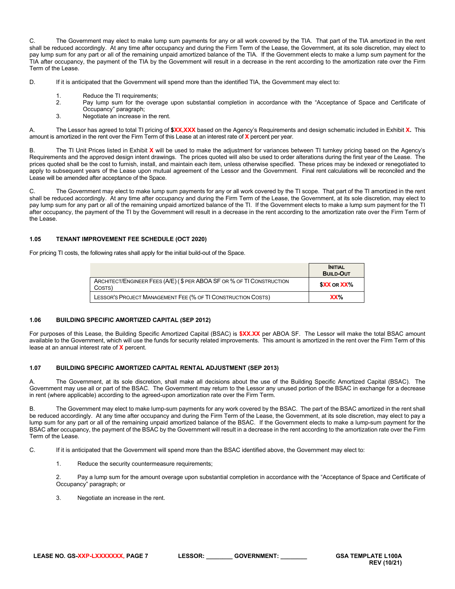C. The Government may elect to make lump sum payments for any or all work covered by the TIA. That part of the TIA amortized in the rent shall be reduced accordingly. At any time after occupancy and during the Firm Term of the Lease, the Government, at its sole discretion, may elect to pay lump sum for any part or all of the remaining unpaid amortized balance of the TIA. If the Government elects to make a lump sum payment for the TIA after occupancy, the payment of the TIA by the Government will result in a decrease in the rent according to the amortization rate over the Firm Term of the Lease.

- D. If it is anticipated that the Government will spend more than the identified TIA, the Government may elect to:
	- 1. Reduce the TI requirements;<br>2. Pay lump sum for the overal
	- Pay lump sum for the overage upon substantial completion in accordance with the "Acceptance of Space and Certificate of
	- Occupancy" paragraph; 3. Negotiate an increase in the rent.

A. The Lessor has agreed to total TI pricing of **\$XX,XXX** based on the Agency's Requirements and design schematic included in Exhibit **X.** This amount is amortized in the rent over the Firm Term of this Lease at an interest rate of **X** percent per year.

B. The TI Unit Prices listed in Exhibit **X** will be used to make the adjustment for variances between TI turnkey pricing based on the Agency's Requirements and the approved design intent drawings. The prices quoted will also be used to order alterations during the first year of the Lease. The prices quoted shall be the cost to furnish, install, and maintain each item, unless otherwise specified. These prices may be indexed or renegotiated to apply to subsequent years of the Lease upon mutual agreement of the Lessor and the Government. Final rent calculations will be reconciled and the Lease will be amended after acceptance of the Space.

C. The Government may elect to make lump sum payments for any or all work covered by the TI scope. That part of the TI amortized in the rent shall be reduced accordingly. At any time after occupancy and during the Firm Term of the Lease, the Government, at its sole discretion, may elect to pay lump sum for any part or all of the remaining unpaid amortized balance of the TI. If the Government elects to make a lump sum payment for the TI after occupancy, the payment of the TI by the Government will result in a decrease in the rent according to the amortization rate over the Firm Term of the Lease.

### <span id="page-6-0"></span>**1.05 TENANT IMPROVEMENT FEE SCHEDULE (OCT 2020)**

For pricing TI costs, the following rates shall apply for the initial build-out of the Space.

|                                                                                 | <b>INITIAL</b><br><b>BUILD-OUT</b> |
|---------------------------------------------------------------------------------|------------------------------------|
| ARCHITECT/ENGINEER FEES (A/E) (\$ PER ABOA SF OR % OF TI CONSTRUCTION<br>COSTS) | <b>SXX OR XX%</b>                  |
| LESSOR'S PROJECT MANAGEMENT FEE (% OF TI CONSTRUCTION COSTS)                    | XX%                                |

### <span id="page-6-1"></span>**1.06 BUILDING SPECIFIC AMORTIZED CAPITAL (SEP 2012)**

For purposes of this Lease, the Building Specific Amortized Capital (BSAC) is **\$XX.XX** per ABOA SF. The Lessor will make the total BSAC amount available to the Government, which will use the funds for security related improvements. This amount is amortized in the rent over the Firm Term of this lease at an annual interest rate of **X** percent.

### <span id="page-6-2"></span>**1.07 BUILDING SPECIFIC AMORTIZED CAPITAL RENTAL ADJUSTMENT (SEP 2013)**

A. The Government, at its sole discretion, shall make all decisions about the use of the Building Specific Amortized Capital (BSAC). The Government may use all or part of the BSAC. The Government may return to the Lessor any unused portion of the BSAC in exchange for a decrease in rent (where applicable) according to the agreed-upon amortization rate over the Firm Term.

B. The Government may elect to make lump-sum payments for any work covered by the BSAC. The part of the BSAC amortized in the rent shall be reduced accordingly. At any time after occupancy and during the Firm Term of the Lease, the Government, at its sole discretion, may elect to pay a lump sum for any part or all of the remaining unpaid amortized balance of the BSAC. If the Government elects to make a lump-sum payment for the BSAC after occupancy, the payment of the BSAC by the Government will result in a decrease in the rent according to the amortization rate over the Firm Term of the Lease.

C. If it is anticipated that the Government will spend more than the BSAC identified above, the Government may elect to:

1. Reduce the security countermeasure requirements;

2. Pay a lump sum for the amount overage upon substantial completion in accordance with the "Acceptance of Space and Certificate of Occupancy" paragraph; or

3. Negotiate an increase in the rent.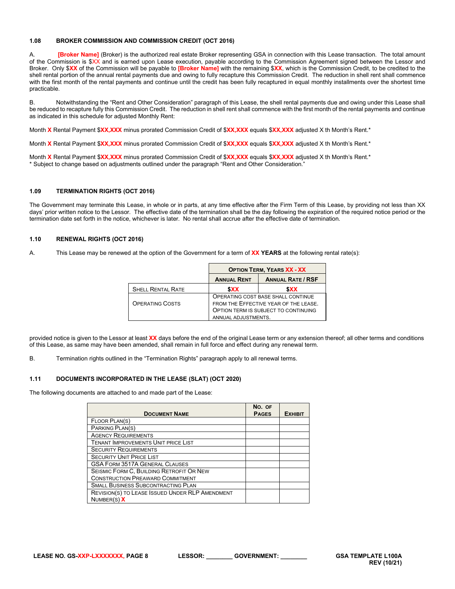### <span id="page-7-0"></span>**1.08 BROKER COMMISSION AND COMMISSION CREDIT (OCT 2016)**

A. **[Broker Name]** (Broker) is the authorized real estate Broker representing GSA in connection with this Lease transaction. The total amount of the Commission is \$XX and is earned upon Lease execution, payable according to the Commission Agreement signed between the Lessor and Broker. Only \$**XX** of the Commission will be payable to **[Broker Name]** with the remaining \$**XX**, which is the Commission Credit, to be credited to the shell rental portion of the annual rental payments due and owing to fully recapture this Commission Credit. The reduction in shell rent shall commence with the first month of the rental payments and continue until the credit has been fully recaptured in equal monthly installments over the shortest time practicable.

B. Notwithstanding the "Rent and Other Consideration" paragraph of this Lease, the shell rental payments due and owing under this Lease shall be reduced to recapture fully this Commission Credit. The reduction in shell rent shall commence with the first month of the rental payments and continue as indicated in this schedule for adjusted Monthly Rent:

Month **X** Rental Payment \$**XX,XXX** minus prorated Commission Credit of \$**XX,XXX** equals \$**XX,XXX** adjusted X th Month's Rent.\*

Month **X** Rental Payment \$**XX,XXX** minus prorated Commission Credit of \$**XX,XXX** equals \$**XX,XXX** adjusted X th Month's Rent.\*

Month **X** Rental Payment \$**XX,XXX** minus prorated Commission Credit of \$**XX,XXX** equals \$**XX,XXX** adjusted X th Month's Rent.\* \* Subject to change based on adjustments outlined under the paragraph "Rent and Other Consideration."

### <span id="page-7-1"></span>**1.09 TERMINATION RIGHTS (OCT 2016)**

The Government may terminate this Lease, in whole or in parts, at any time effective after the Firm Term of this Lease, by providing not less than XX days' prior written notice to the Lessor. The effective date of the termination shall be the day following the expiration of the required notice period or the termination date set forth in the notice, whichever is later. No rental shall accrue after the effective date of termination.

### <span id="page-7-2"></span>**1.10 RENEWAL RIGHTS (OCT 2016)**

A. This Lease may be renewed at the option of the Government for a term of **XX YEARS** at the following rental rate(s):

|                          | <b>OPTION TERM, YEARS XX - XX</b>                                           |                          |  |
|--------------------------|-----------------------------------------------------------------------------|--------------------------|--|
|                          | <b>ANNUAL RENT</b>                                                          | <b>ANNUAL RATE / RSF</b> |  |
| <b>SHELL RENTAL RATE</b> | <b>SXX</b>                                                                  | \$XX                     |  |
| <b>OPERATING COSTS</b>   | OPERATING COST BASE SHALL CONTINUE<br>FROM THE EFFECTIVE YEAR OF THE LEASE. |                          |  |
|                          | OPTION TERM IS SUBJECT TO CONTINUING<br>ANNUAL ADJUSTMENTS.                 |                          |  |

provided notice is given to the Lessor at least **XX** days before the end of the original Lease term or any extension thereof; all other terms and conditions of this Lease, as same may have been amended, shall remain in full force and effect during any renewal term.

B. Termination rights outlined in the "Termination Rights" paragraph apply to all renewal terms.

### <span id="page-7-3"></span>**1.11 DOCUMENTS INCORPORATED IN THE LEASE (SLAT) (OCT 2020)**

The following documents are attached to and made part of the Lease:

| <b>DOCUMENT NAME</b>                            | NO. OF<br><b>PAGES</b> | <b>EXHIBIT</b> |
|-------------------------------------------------|------------------------|----------------|
| FLOOR PLAN(S)                                   |                        |                |
| PARKING PLAN(S)                                 |                        |                |
| <b>AGENCY REQUIREMENTS</b>                      |                        |                |
| <b>TENANT IMPROVEMENTS UNIT PRICE LIST</b>      |                        |                |
| <b>SECURITY REQUIREMENTS</b>                    |                        |                |
| <b>SECURITY UNIT PRICE LIST</b>                 |                        |                |
| <b>GSA FORM 3517A GENERAL CLAUSES</b>           |                        |                |
| SEISMIC FORM C, BUILDING RETROFIT OR NEW        |                        |                |
| <b>CONSTRUCTION PREAWARD COMMITMENT</b>         |                        |                |
| <b>SMALL BUSINESS SUBCONTRACTING PLAN</b>       |                        |                |
| REVISION(S) TO LEASE ISSUED UNDER RLP AMENDMENT |                        |                |
| NUMBER(S) $X$                                   |                        |                |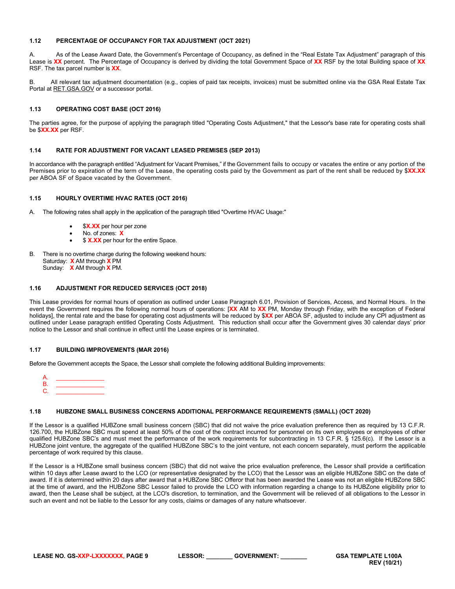### <span id="page-8-0"></span>**1.12 PERCENTAGE OF OCCUPANCY FOR TAX ADJUSTMENT (OCT 2021)**

A. As of the Lease Award Date, the Government's Percentage of Occupancy, as defined in the "Real Estate Tax Adjustment" paragraph of this Lease is **XX** percent. The Percentage of Occupancy is derived by dividing the total Government Space of **XX** RSF by the total Building space of **XX** RSF. The tax parcel number is **XX**.

B. All relevant tax adjustment documentation (e.g., copies of paid tax receipts, invoices) must be submitted online via the GSA Real Estate Tax Portal at RET.GSA.GOV or a successor portal.

### <span id="page-8-1"></span>**1.13 OPERATING COST BASE (OCT 2016)**

The parties agree, for the purpose of applying the paragraph titled "Operating Costs Adjustment," that the Lessor's base rate for operating costs shall be \$**XX.XX** per RSF.

### <span id="page-8-2"></span>**1.14 RATE FOR ADJUSTMENT FOR VACANT LEASED PREMISES (SEP 2013)**

In accordance with the paragraph entitled "Adjustment for Vacant Premises," if the Government fails to occupy or vacates the entire or any portion of the Premises prior to expiration of the term of the Lease, the operating costs paid by the Government as part of the rent shall be reduced by \$**XX.XX** per ABOA SF of Space vacated by the Government.

### <span id="page-8-3"></span>**1.15 HOURLY OVERTIME HVAC RATES (OCT 2016)**

- A. The following rates shall apply in the application of the paragraph titled "Overtime HVAC Usage:"
	- \$X.XX per hour per zone
	- No. of zones: **X**
	- \$ **X.XX** per hour for the entire Space.
- B. There is no overtime charge during the following weekend hours: Saturday: **X** AM through **X** PM Sunday: **X** AM through **X** PM.

#### <span id="page-8-4"></span>**1.16 ADJUSTMENT FOR REDUCED SERVICES (OCT 2018)**

This Lease provides for normal hours of operation as outlined under Lease Paragraph 6.01, Provision of Services, Access, and Normal Hours. In the event the Government requires the following normal hours of operations: [**XX** AM to **XX** PM, Monday through Friday, with the exception of Federal holidays], the rental rate and the base for operating cost adjustments will be reduced by \$**XX** per ABOA SF, adjusted to include any CPI adjustment as outlined under Lease paragraph entitled Operating Costs Adjustment. This reduction shall occur after the Government gives 30 calendar days' prior notice to the Lessor and shall continue in effect until the Lease expires or is terminated.

#### <span id="page-8-5"></span>**1.17 BUILDING IMPROVEMENTS (MAR 2016)**

Before the Government accepts the Space, the Lessor shall complete the following additional Building improvements:

A. \_\_\_\_\_\_\_\_\_\_\_\_\_\_\_ B. \_\_\_\_\_\_\_\_\_\_\_\_\_\_\_ C. \_\_\_\_\_\_\_\_\_\_\_\_\_\_\_

#### <span id="page-8-6"></span>**1.18 HUBZONE SMALL BUSINESS CONCERNS ADDITIONAL PERFORMANCE REQUIREMENTS (SMALL) (OCT 2020)**

If the Lessor is a qualified HUBZone small business concern (SBC) that did not waive the price evaluation preference then as required by 13 C.F.R. 126.700, the HUBZone SBC must spend at least 50% of the cost of the contract incurred for personnel on its own employees or employees of other qualified HUBZone SBC's and must meet the performance of the work requirements for subcontracting in 13 C.F.R. § 125.6(c). If the Lessor is a HUBZone joint venture, the aggregate of the qualified HUBZone SBC's to the joint venture, not each concern separately, must perform the applicable percentage of work required by this clause.

If the Lessor is a HUBZone small business concern (SBC) that did not waive the price evaluation preference, the Lessor shall provide a certification within 10 days after Lease award to the LCO (or representative designated by the LCO) that the Lessor was an eligible HUBZone SBC on the date of award. If it is determined within 20 days after award that a HUBZone SBC Offeror that has been awarded the Lease was not an eligible HUBZone SBC at the time of award, and the HUBZone SBC Lessor failed to provide the LCO with information regarding a change to its HUBZone eligibility prior to award, then the Lease shall be subject, at the LCO's discretion, to termination, and the Government will be relieved of all obligations to the Lessor in such an event and not be liable to the Lessor for any costs, claims or damages of any nature whatsoever.

**LEASE NO. GS-XXP-LXXXXXXX, PAGE 9 LESSOR: \_\_\_\_\_\_\_\_ GOVERNMENT: \_\_\_\_\_\_\_\_ GSA TEMPLATE L100A**

**REV (10/21)**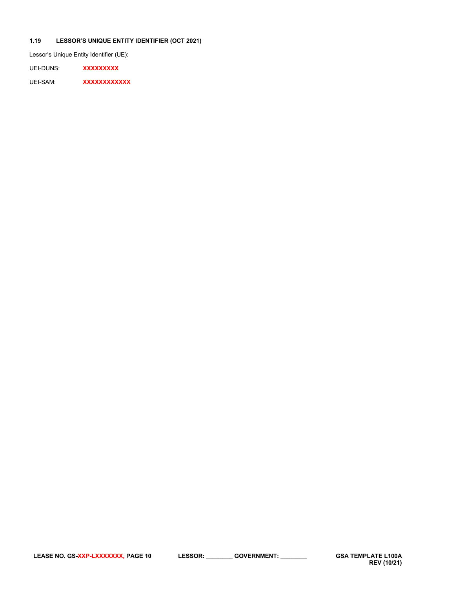## <span id="page-9-0"></span>**1.19 LESSOR'S UNIQUE ENTITY IDENTIFIER (OCT 2021)**

Lessor's Unique Entity Identifier (UE):

UEI-DUNS: **XXXXXXXXX**

UEI-SAM: **XXXXXXXXXXX**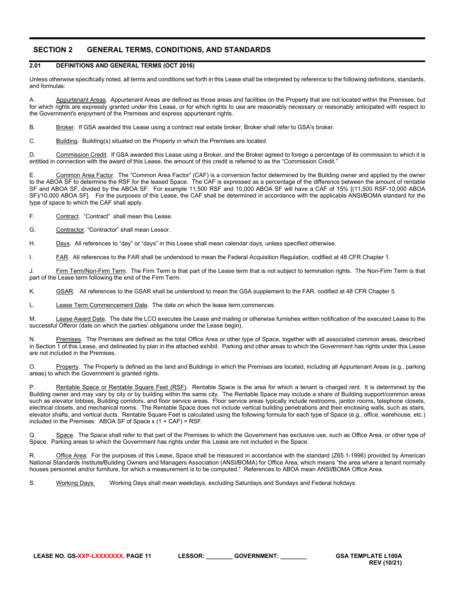# <span id="page-10-0"></span>**SECTION 2 GENERAL TERMS, CONDITIONS, AND STANDARDS**

## <span id="page-10-1"></span>**2.01 DEFINITIONS AND GENERAL TERMS (OCT 2016)**

Unless otherwise specifically noted, all terms and conditions set forth in this Lease shall be interpreted by reference to the following definitions, standards, and formulas:

A. Appurtenant Areas. Appurtenant Areas are defined as those areas and facilities on the Property that are not located within the Premises, but for which rights are expressly granted under this Lease, or for which rights to use are reasonably necessary or reasonably anticipated with respect to the Government's enjoyment of the Premises and express appurtenant rights.

B. Broker. If GSA awarded this Lease using a contract real estate broker, Broker shall refer to GSA's broker.

C. Building. Building(s) situated on the Property in which the Premises are located.

D. Commission Credit. If GSA awarded this Lease using a Broker, and the Broker agreed to forego a percentage of its commission to which it is entitled in connection with the award of this Lease, the amount of this credit is referred to as the "Commission Credit."

E. Common Area Factor. The "Common Area Factor" (CAF) is a conversion factor determined by the Building owner and applied by the owner to the ABOA SF to determine the RSF for the leased Space. The CAF is expressed as a percentage of the difference between the amount of rentable SF and ABOA SF, divided by the ABOA SF. For example 11,500 RSF and 10,000 ABOA SF will have a CAF of 15% [(11,500 RSF-10,000 ABOA SF)/10,000 ABOA SF]. For the purposes of this Lease, the CAF shall be determined in accordance with the applicable ANSI**/**BOMA standard for the type of space to which the CAF shall apply.

F. Contract. "Contract" shall mean this Lease.

G. Contractor. "Contractor" shall mean Lessor.

H. Days. All references to "day" or "days" in this Lease shall mean calendar days, unless specified otherwise.

I. FAR. All references to the FAR shall be understood to mean the Federal Acquisition Regulation, codified at 48 CFR Chapter 1.

J. Firm Term/Non-Firm Term. The Firm Term is that part of the Lease term that is not subject to termination rights. The Non-Firm Term is that part of the Lease term following the end of the Firm Term.

K. GSAR. All references to the GSAR shall be understood to mean the GSA supplement to the FAR, codified at 48 CFR Chapter 5.

L. Lease Term Commencement Date. The date on which the lease term commences.

M. Lease Award Date. The date the LCO executes the Lease and mailing or otherwise furnishes written notification of the executed Lease to the successful Offeror (date on which the parties' obligations under the Lease begin).

Premises. The Premises are defined as the total Office Area or other type of Space, together with all associated common areas, described in Section 1 of this Lease, and delineated by plan in the attached exhibit. Parking and other areas to which the Government has rights under this Lease are not included in the Premises.

O. Property. The Property is defined as the land and Buildings in which the Premises are located, including all Appurtenant Areas (e.g., parking areas) to which the Government is granted rights.

Rentable Space or Rentable Square Feet (RSF). Rentable Space is the area for which a tenant is charged rent. It is determined by the Building owner and may vary by city or by building within the same city. The Rentable Space may include a share of Building support/common areas such as elevator lobbies, Building corridors, and floor service areas. Floor service areas typically include restrooms, janitor rooms, telephone closets, electrical closets, and mechanical rooms. The Rentable Space does not include vertical building penetrations and their enclosing walls, such as stairs, elevator shafts, and vertical ducts. Rentable Square Feet is calculated using the following formula for each type of Space (e.g., office, warehouse, etc.) included in the Premises: ABOA SF of Space  $x(1 + CAF) = RSF$ .

Q. Space. The Space shall refer to that part of the Premises to which the Government has exclusive use, such as Office Area, or other type of Space. Parking areas to which the Government has rights under this Lease are not included in the Space.

Office Area. For the purposes of this Lease, Space shall be measured in accordance with the standard (Z65.1-1996) provided by American National Standards Institute**/**Building Owners and Managers Association (ANSI**/**BOMA) for Office Area, which means "the area where a tenant normally houses personnel and/or furniture, for which a measurement is to be computed." References to ABOA mean ANSI**/**BOMA Office Area.

S. Working Days. Working Days shall mean weekdays, excluding Saturdays and Sundays and Federal holidays.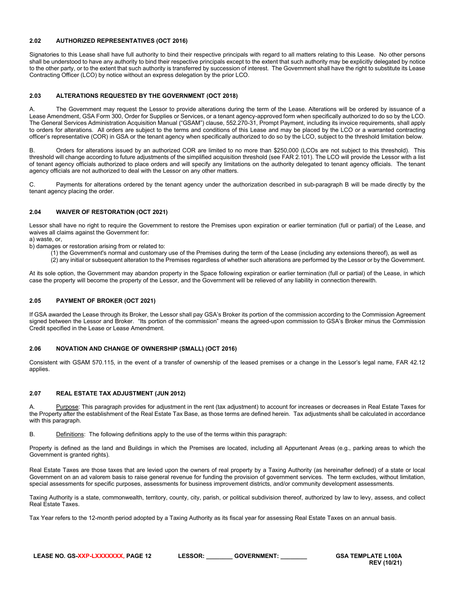### <span id="page-11-0"></span>**2.02 AUTHORIZED REPRESENTATIVES (OCT 2016)**

Signatories to this Lease shall have full authority to bind their respective principals with regard to all matters relating to this Lease. No other persons shall be understood to have any authority to bind their respective principals except to the extent that such authority may be explicitly delegated by notice to the other party, or to the extent that such authority is transferred by succession of interest. The Government shall have the right to substitute its Lease Contracting Officer (LCO) by notice without an express delegation by the prior LCO.

### <span id="page-11-1"></span>**2.03 ALTERATIONS REQUESTED BY THE GOVERNMENT (OCT 2018)**

A. The Government may request the Lessor to provide alterations during the term of the Lease. Alterations will be ordered by issuance of a Lease Amendment, GSA Form 300, Order for Supplies or Services, or a tenant agency-approved form when specifically authorized to do so by the LCO. The General Services Administration Acquisition Manual ("GSAM") clause, 552.270-31, Prompt Payment, including its invoice requirements, shall apply to orders for alterations. All orders are subject to the terms and conditions of this Lease and may be placed by the LCO or a warranted contracting officer's representative (COR) in GSA or the tenant agency when specifically authorized to do so by the LCO, subject to the threshold limitation below.

B. Orders for alterations issued by an authorized COR are limited to no more than \$250,000 (LCOs are not subject to this threshold). This threshold will change according to future adjustments of the simplified acquisition threshold (see FAR 2.101). The LCO will provide the Lessor with a list of tenant agency officials authorized to place orders and will specify any limitations on the authority delegated to tenant agency officials. The tenant agency officials are not authorized to deal with the Lessor on any other matters.

C. Payments for alterations ordered by the tenant agency under the authorization described in sub-paragraph B will be made directly by the tenant agency placing the order.

### <span id="page-11-2"></span>**2.04 WAIVER OF RESTORATION (OCT 2021)**

Lessor shall have no right to require the Government to restore the Premises upon expiration or earlier termination (full or partial) of the Lease, and waives all claims against the Government for:

- a) waste, or,
- b) damages or restoration arising from or related to:
	- (1) the Government's normal and customary use of the Premises during the term of the Lease (including any extensions thereof), as well as
	- (2) any initial or subsequent alteration to the Premises regardless of whether such alterations are performed by the Lessor or by the Government.

At its sole option, the Government may abandon property in the Space following expiration or earlier termination (full or partial) of the Lease, in which case the property will become the property of the Lessor, and the Government will be relieved of any liability in connection therewith.

### <span id="page-11-3"></span>**2.05 PAYMENT OF BROKER (OCT 2021)**

If GSA awarded the Lease through its Broker, the Lessor shall pay GSA's Broker its portion of the commission according to the Commission Agreement signed between the Lessor and Broker. "Its portion of the commission" means the agreed-upon commission to GSA's Broker minus the Commission Credit specified in the Lease or Lease Amendment.

### <span id="page-11-4"></span>**2.06 NOVATION AND CHANGE OF OWNERSHIP (SMALL) (OCT 2016)**

Consistent with GSAM 570.115, in the event of a transfer of ownership of the leased premises or a change in the Lessor's legal name, FAR 42.12 applies.

### <span id="page-11-5"></span>**2.07 REAL ESTATE TAX ADJUSTMENT (JUN 2012)**

A. Purpose: This paragraph provides for adjustment in the rent (tax adjustment) to account for increases or decreases in Real Estate Taxes for the Property after the establishment of the Real Estate Tax Base, as those terms are defined herein. Tax adjustments shall be calculated in accordance with this paragraph.

B. Definitions: The following definitions apply to the use of the terms within this paragraph:

Property is defined as the land and Buildings in which the Premises are located, including all Appurtenant Areas (e.g., parking areas to which the Government is granted rights).

Real Estate Taxes are those taxes that are levied upon the owners of real property by a Taxing Authority (as hereinafter defined) of a state or local Government on an ad valorem basis to raise general revenue for funding the provision of government services. The term excludes, without limitation, special assessments for specific purposes, assessments for business improvement districts, and/or community development assessments.

Taxing Authority is a state, commonwealth, territory, county, city, parish, or political subdivision thereof, authorized by law to levy, assess, and collect Real Estate Taxes.

Tax Year refers to the 12-month period adopted by a Taxing Authority as its fiscal year for assessing Real Estate Taxes on an annual basis.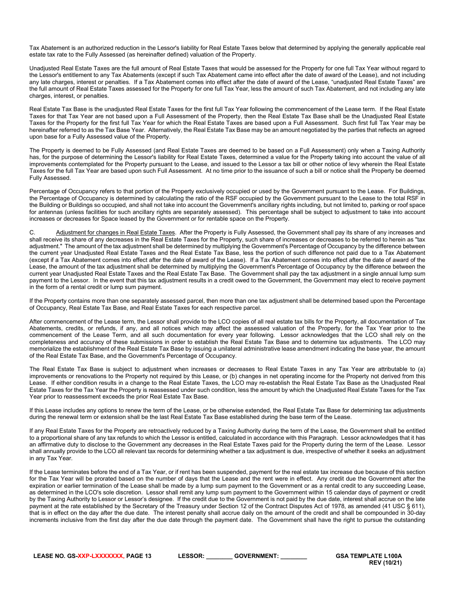Tax Abatement is an authorized reduction in the Lessor's liability for Real Estate Taxes below that determined by applying the generally applicable real estate tax rate to the Fully Assessed (as hereinafter defined) valuation of the Property.

Unadjusted Real Estate Taxes are the full amount of Real Estate Taxes that would be assessed for the Property for one full Tax Year without regard to the Lessor's entitlement to any Tax Abatements (except if such Tax Abatement came into effect after the date of award of the Lease), and not including any late charges, interest or penalties. If a Tax Abatement comes into effect after the date of award of the Lease, "unadjusted Real Estate Taxes" are the full amount of Real Estate Taxes assessed for the Property for one full Tax Year, less the amount of such Tax Abatement, and not including any late charges, interest, or penalties.

Real Estate Tax Base is the unadjusted Real Estate Taxes for the first full Tax Year following the commencement of the Lease term. If the Real Estate Taxes for that Tax Year are not based upon a Full Assessment of the Property, then the Real Estate Tax Base shall be the Unadjusted Real Estate Taxes for the Property for the first full Tax Year for which the Real Estate Taxes are based upon a Full Assessment. Such first full Tax Year may be hereinafter referred to as the Tax Base Year. Alternatively, the Real Estate Tax Base may be an amount negotiated by the parties that reflects an agreed upon base for a Fully Assessed value of the Property.

The Property is deemed to be Fully Assessed (and Real Estate Taxes are deemed to be based on a Full Assessment) only when a Taxing Authority has, for the purpose of determining the Lessor's liability for Real Estate Taxes, determined a value for the Property taking into account the value of all improvements contemplated for the Property pursuant to the Lease, and issued to the Lessor a tax bill or other notice of levy wherein the Real Estate Taxes for the full Tax Year are based upon such Full Assessment. At no time prior to the issuance of such a bill or notice shall the Property be deemed Fully Assessed.

Percentage of Occupancy refers to that portion of the Property exclusively occupied or used by the Government pursuant to the Lease. For Buildings, the Percentage of Occupancy is determined by calculating the ratio of the RSF occupied by the Government pursuant to the Lease to the total RSF in the Building or Buildings so occupied, and shall not take into account the Government's ancillary rights including, but not limited to, parking or roof space for antennas (unless facilities for such ancillary rights are separately assessed). This percentage shall be subject to adjustment to take into account increases or decreases for Space leased by the Government or for rentable space on the Property.

C. Adjustment for changes in Real Estate Taxes. After the Property is Fully Assessed, the Government shall pay its share of any increases and shall receive its share of any decreases in the Real Estate Taxes for the Property, such share of increases or decreases to be referred to herein as "tax adjustment." The amount of the tax adjustment shall be determined by multiplying the Government's Percentage of Occupancy by the difference between the current year Unadjusted Real Estate Taxes and the Real Estate Tax Base, less the portion of such difference not paid due to a Tax Abatement (except if a Tax Abatement comes into effect after the date of award of the Lease). If a Tax Abatement comes into effect after the date of award of the Lease, the amount of the tax adjustment shall be determined by multiplying the Government's Percentage of Occupancy by the difference between the current year Unadjusted Real Estate Taxes and the Real Estate Tax Base. The Government shall pay the tax adjustment in a single annual lump sum payment to the Lessor. In the event that this tax adjustment results in a credit owed to the Government, the Government may elect to receive payment in the form of a rental credit or lump sum payment.

If the Property contains more than one separately assessed parcel, then more than one tax adjustment shall be determined based upon the Percentage of Occupancy, Real Estate Tax Base, and Real Estate Taxes for each respective parcel.

After commencement of the Lease term, the Lessor shall provide to the LCO copies of all real estate tax bills for the Property, all documentation of Tax Abatements, credits, or refunds, if any, and all notices which may affect the assessed valuation of the Property, for the Tax Year prior to the commencement of the Lease Term, and all such documentation for every year following. Lessor acknowledges that the LCO shall rely on the completeness and accuracy of these submissions in order to establish the Real Estate Tax Base and to determine tax adjustments. The LCO may memorialize the establishment of the Real Estate Tax Base by issuing a unilateral administrative lease amendment indicating the base year, the amount of the Real Estate Tax Base, and the Government's Percentage of Occupancy.

The Real Estate Tax Base is subject to adjustment when increases or decreases to Real Estate Taxes in any Tax Year are attributable to (a) improvements or renovations to the Property not required by this Lease, or (b) changes in net operating income for the Property not derived from this Lease. If either condition results in a change to the Real Estate Taxes, the LCO may re-establish the Real Estate Tax Base as the Unadjusted Real Estate Taxes for the Tax Year the Property is reassessed under such condition, less the amount by which the Unadjusted Real Estate Taxes for the Tax Year prior to reassessment exceeds the prior Real Estate Tax Base.

If this Lease includes any options to renew the term of the Lease, or be otherwise extended, the Real Estate Tax Base for determining tax adjustments during the renewal term or extension shall be the last Real Estate Tax Base established during the base term of the Lease.

If any Real Estate Taxes for the Property are retroactively reduced by a Taxing Authority during the term of the Lease, the Government shall be entitled to a proportional share of any tax refunds to which the Lessor is entitled, calculated in accordance with this Paragraph. Lessor acknowledges that it has an affirmative duty to disclose to the Government any decreases in the Real Estate Taxes paid for the Property during the term of the Lease. Lessor shall annually provide to the LCO all relevant tax records for determining whether a tax adjustment is due, irrespective of whether it seeks an adjustment in any Tax Year.

If the Lease terminates before the end of a Tax Year, or if rent has been suspended, payment for the real estate tax increase due because of this section for the Tax Year will be prorated based on the number of days that the Lease and the rent were in effect. Any credit due the Government after the expiration or earlier termination of the Lease shall be made by a lump sum payment to the Government or as a rental credit to any succeeding Lease, as determined in the LCO's sole discretion. Lessor shall remit any lump sum payment to the Government within 15 calendar days of payment or credit by the Taxing Authority to Lessor or Lessor's designee. If the credit due to the Government is not paid by the due date, interest shall accrue on the late payment at the rate established by the Secretary of the Treasury under Section 12 of the Contract Disputes Act of 1978, as amended (41 USC § 611), that is in effect on the day after the due date. The interest penalty shall accrue daily on the amount of the credit and shall be compounded in 30-day increments inclusive from the first day after the due date through the payment date. The Government shall have the right to pursue the outstanding

**LEASE NO. GS-XXP-LXXXXXXX, PAGE 13 LESSOR: \_\_\_\_\_\_\_\_ GOVERNMENT: \_\_\_\_\_\_\_\_ GSA TEMPLATE L100A**

**REV (10/21)**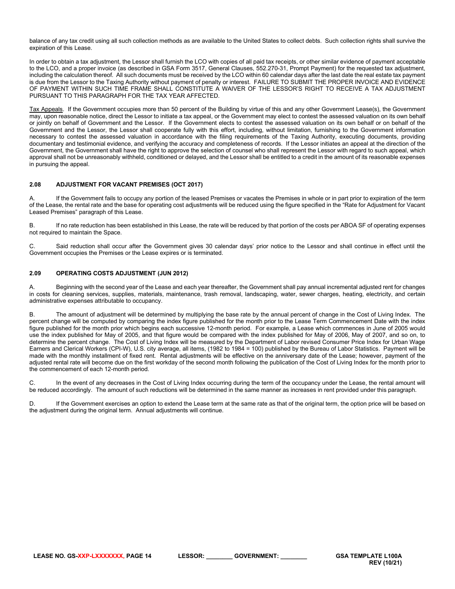balance of any tax credit using all such collection methods as are available to the United States to collect debts. Such collection rights shall survive the expiration of this Lease.

In order to obtain a tax adjustment, the Lessor shall furnish the LCO with copies of all paid tax receipts, or other similar evidence of payment acceptable to the LCO, and a proper invoice (as described in GSA Form 3517, General Clauses, 552.270-31, Prompt Payment) for the requested tax adjustment, including the calculation thereof. All such documents must be received by the LCO within 60 calendar days after the last date the real estate tax payment is due from the Lessor to the Taxing Authority without payment of penalty or interest. FAILURE TO SUBMIT THE PROPER INVOICE AND EVIDENCE OF PAYMENT WITHIN SUCH TIME FRAME SHALL CONSTITUTE A WAIVER OF THE LESSOR'S RIGHT TO RECEIVE A TAX ADJUSTMENT PURSUANT TO THIS PARAGRAPH FOR THE TAX YEAR AFFECTED.

Tax Appeals. If the Government occupies more than 50 percent of the Building by virtue of this and any other Government Lease(s), the Government may, upon reasonable notice, direct the Lessor to initiate a tax appeal, or the Government may elect to contest the assessed valuation on its own behalf or jointly on behalf of Government and the Lessor. If the Government elects to contest the assessed valuation on its own behalf or on behalf of the Government and the Lessor, the Lessor shall cooperate fully with this effort, including, without limitation, furnishing to the Government information necessary to contest the assessed valuation in accordance with the filing requirements of the Taxing Authority, executing documents, providing documentary and testimonial evidence, and verifying the accuracy and completeness of records. If the Lessor initiates an appeal at the direction of the Government, the Government shall have the right to approve the selection of counsel who shall represent the Lessor with regard to such appeal, which approval shall not be unreasonably withheld, conditioned or delayed, and the Lessor shall be entitled to a credit in the amount of its reasonable expenses in pursuing the appeal.

### <span id="page-13-0"></span>**2.08 ADJUSTMENT FOR VACANT PREMISES (OCT 2017)**

A. If the Government fails to occupy any portion of the leased Premises or vacates the Premises in whole or in part prior to expiration of the term of the Lease, the rental rate and the base for operating cost adjustments will be reduced using the figure specified in the "Rate for Adjustment for Vacant Leased Premises" paragraph of this Lease.

B. If no rate reduction has been established in this Lease, the rate will be reduced by that portion of the costs per ABOA SF of operating expenses not required to maintain the Space.

C. Said reduction shall occur after the Government gives 30 calendar days' prior notice to the Lessor and shall continue in effect until the Government occupies the Premises or the Lease expires or is terminated.

### <span id="page-13-1"></span>**2.09 OPERATING COSTS ADJUSTMENT (JUN 2012)**

A. Beginning with the second year of the Lease and each year thereafter, the Government shall pay annual incremental adjusted rent for changes in costs for cleaning services, supplies, materials, maintenance, trash removal, landscaping, water, sewer charges, heating, electricity, and certain administrative expenses attributable to occupancy.

B. The amount of adjustment will be determined by multiplying the base rate by the annual percent of change in the Cost of Living Index. The percent change will be computed by comparing the index figure published for the month prior to the Lease Term Commencement Date with the index figure published for the month prior which begins each successive 12-month period. For example, a Lease which commences in June of 2005 would use the index published for May of 2005, and that figure would be compared with the index published for May of 2006, May of 2007, and so on, to determine the percent change. The Cost of Living Index will be measured by the Department of Labor revised Consumer Price Index for Urban Wage Earners and Clerical Workers (CPI-W), U.S. city average, all items, (1982 to 1984 = 100) published by the Bureau of Labor Statistics. Payment will be made with the monthly installment of fixed rent. Rental adjustments will be effective on the anniversary date of the Lease; however, payment of the adjusted rental rate will become due on the first workday of the second month following the publication of the Cost of Living Index for the month prior to the commencement of each 12-month period.

C. In the event of any decreases in the Cost of Living Index occurring during the term of the occupancy under the Lease, the rental amount will be reduced accordingly. The amount of such reductions will be determined in the same manner as increases in rent provided under this paragraph.

If the Government exercises an option to extend the Lease term at the same rate as that of the original term, the option price will be based on the adjustment during the original term. Annual adjustments will continue.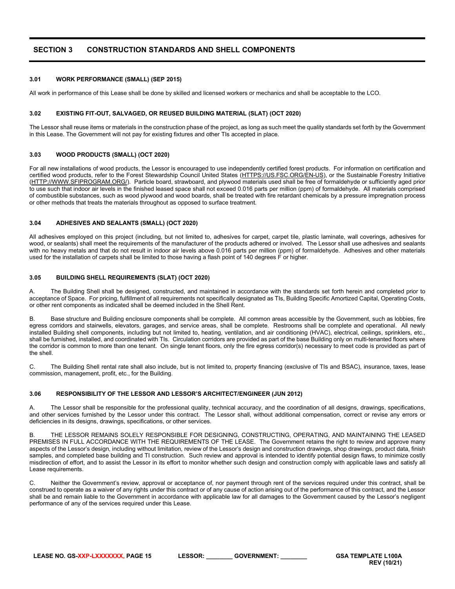# <span id="page-14-0"></span>**SECTION 3 CONSTRUCTION STANDARDS AND SHELL COMPONENTS**

### <span id="page-14-1"></span>**3.01 WORK PERFORMANCE (SMALL) (SEP 2015)**

All work in performance of this Lease shall be done by skilled and licensed workers or mechanics and shall be acceptable to the LCO.

#### <span id="page-14-2"></span>**3.02 EXISTING FIT-OUT, SALVAGED, OR REUSED BUILDING MATERIAL (SLAT) (OCT 2020)**

The Lessor shall reuse items or materials in the construction phase of the project, as long as such meet the quality standards set forth by the Government in this Lease. The Government will not pay for existing fixtures and other TIs accepted in place.

#### <span id="page-14-3"></span>**3.03 WOOD PRODUCTS (SMALL) (OCT 2020)**

For all new installations of wood products, the Lessor is encouraged to use independently certified forest products. For information on certification and certified wood products, refer to the Forest Stewardship Council United States [\(HTTPS://US.FSC.ORG/EN-US\)](https://us.fsc.org/en-us), or the Sustainable Forestry Initiative [\(HTTP://WWW.SFIPROGRAM.ORG/\)](http://www.sfiprogram.org/). Particle board, strawboard, and plywood materials used shall be free of formaldehyde or sufficiently aged prior to use such that indoor air levels in the finished leased space shall not exceed 0.016 parts per million (ppm) of formaldehyde. All materials comprised of combustible substances, such as wood plywood and wood boards, shall be treated with fire retardant chemicals by a pressure impregnation process or other methods that treats the materials throughout as opposed to surface treatment.

#### <span id="page-14-4"></span>**3.04 ADHESIVES AND SEALANTS (SMALL) (OCT 2020)**

All adhesives employed on this project (including, but not limited to, adhesives for carpet, carpet tile, plastic laminate, wall coverings, adhesives for wood, or sealants) shall meet the requirements of the manufacturer of the products adhered or involved. The Lessor shall use adhesives and sealants with no heavy metals and that do not result in indoor air levels above 0.016 parts per million (ppm) of formaldehyde. Adhesives and other materials used for the installation of carpets shall be limited to those having a flash point of 140 degrees F or higher.

### <span id="page-14-5"></span>**3.05 BUILDING SHELL REQUIREMENTS (SLAT) (OCT 2020)**

A. The Building Shell shall be designed, constructed, and maintained in accordance with the standards set forth herein and completed prior to acceptance of Space. For pricing, fulfillment of all requirements not specifically designated as TIs, Building Specific Amortized Capital, Operating Costs, or other rent components as indicated shall be deemed included in the Shell Rent.

B. Base structure and Building enclosure components shall be complete. All common areas accessible by the Government, such as lobbies, fire egress corridors and stairwells, elevators, garages, and service areas, shall be complete. Restrooms shall be complete and operational. All newly installed Building shell components, including but not limited to, heating, ventilation, and air conditioning (HVAC), electrical, ceilings, sprinklers, etc., shall be furnished, installed, and coordinated with TIs. Circulation corridors are provided as part of the base Building only on multi-tenanted floors where the corridor is common to more than one tenant. On single tenant floors, only the fire egress corridor(s) necessary to meet code is provided as part of the shell.

C. The Building Shell rental rate shall also include, but is not limited to, property financing (exclusive of TIs and BSAC), insurance, taxes, lease commission, management, profit, etc., for the Building.

#### <span id="page-14-6"></span>**3.06 RESPONSIBILITY OF THE LESSOR AND LESSOR'S ARCHITECT/ENGINEER (JUN 2012)**

The Lessor shall be responsible for the professional quality, technical accuracy, and the coordination of all designs, drawings, specifications, and other services furnished by the Lessor under this contract. The Lessor shall, without additional compensation, correct or revise any errors or deficiencies in its designs, drawings, specifications, or other services.

THE LESSOR REMAINS SOLELY RESPONSIBLE FOR DESIGNING, CONSTRUCTING, OPERATING, AND MAINTAINING THE LEASED PREMISES IN FULL ACCORDANCE WITH THE REQUIREMENTS OF THE LEASE. The Government retains the right to review and approve many aspects of the Lessor's design, including without limitation, review of the Lessor's design and construction drawings, shop drawings, product data, finish samples, and completed base building and TI construction. Such review and approval is intended to identify potential design flaws, to minimize costly misdirection of effort, and to assist the Lessor in its effort to monitor whether such design and construction comply with applicable laws and satisfy all Lease requirements.

C. Neither the Government's review, approval or acceptance of, nor payment through rent of the services required under this contract, shall be construed to operate as a waiver of any rights under this contract or of any cause of action arising out of the performance of this contract, and the Lessor shall be and remain liable to the Government in accordance with applicable law for all damages to the Government caused by the Lessor's negligent performance of any of the services required under this Lease.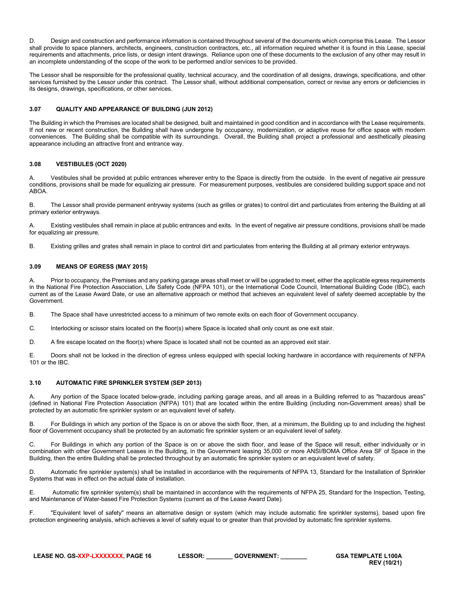D. Design and construction and performance information is contained throughout several of the documents which comprise this Lease. The Lessor shall provide to space planners, architects, engineers, construction contractors, etc., all information required whether it is found in this Lease, special requirements and attachments, price lists, or design intent drawings. Reliance upon one of these documents to the exclusion of any other may result in an incomplete understanding of the scope of the work to be performed and/or services to be provided.

The Lessor shall be responsible for the professional quality, technical accuracy, and the coordination of all designs, drawings, specifications, and other services furnished by the Lessor under this contract. The Lessor shall, without additional compensation, correct or revise any errors or deficiencies in its designs, drawings, specifications, or other services.

### <span id="page-15-0"></span>**3.07 QUALITY AND APPEARANCE OF BUILDING (JUN 2012)**

The Building in which the Premises are located shall be designed, built and maintained in good condition and in accordance with the Lease requirements. If not new or recent construction, the Building shall have undergone by occupancy, modernization, or adaptive reuse for office space with modern conveniences. The Building shall be compatible with its surroundings. Overall, the Building shall project a professional and aesthetically pleasing appearance including an attractive front and entrance way.

### <span id="page-15-1"></span>**3.08 VESTIBULES (OCT 2020)**

A. Vestibules shall be provided at public entrances wherever entry to the Space is directly from the outside. In the event of negative air pressure conditions, provisions shall be made for equalizing air pressure. For measurement purposes, vestibules are considered building support space and not ABOA.

B. The Lessor shall provide permanent entryway systems (such as grilles or grates) to control dirt and particulates from entering the Building at all primary exterior entryways.

A. Existing vestibules shall remain in place at public entrances and exits. In the event of negative air pressure conditions, provisions shall be made for equalizing air pressure.

B. Existing grilles and grates shall remain in place to control dirt and particulates from entering the Building at all primary exterior entryways.

### <span id="page-15-2"></span>**3.09 MEANS OF EGRESS (MAY 2015)**

A. Prior to occupancy, the Premises and any parking garage areas shall meet or will be upgraded to meet, either the applicable egress requirements in the National Fire Protection Association, Life Safety Code (NFPA 101), or the International Code Council, International Building Code (IBC), each current as of the Lease Award Date, or use an alternative approach or method that achieves an equivalent level of safety deemed acceptable by the Government.

B. The Space shall have unrestricted access to a minimum of two remote exits on each floor of Government occupancy.

C. Interlocking or scissor stairs located on the floor(s) where Space is located shall only count as one exit stair.

D. A fire escape located on the floor(s) where Space is located shall not be counted as an approved exit stair.

E. Doors shall not be locked in the direction of egress unless equipped with special locking hardware in accordance with requirements of NFPA 101 or the IBC.

### <span id="page-15-3"></span>**3.10 AUTOMATIC FIRE SPRINKLER SYSTEM (SEP 2013)**

A. Any portion of the Space located below-grade, including parking garage areas, and all areas in a Building referred to as "hazardous areas" (defined in National Fire Protection Association (NFPA) 101) that are located within the entire Building (including non-Government areas) shall be protected by an automatic fire sprinkler system or an equivalent level of safety.

B. For Buildings in which any portion of the Space is on or above the sixth floor, then, at a minimum, the Building up to and including the highest floor of Government occupancy shall be protected by an automatic fire sprinkler system or an equivalent level of safety.

C. For Buildings in which any portion of the Space is on or above the sixth floor, and lease of the Space will result, either individually or in combination with other Government Leases in the Building, in the Government leasing 35,000 or more ANSI/BOMA Office Area SF of Space in the Building, then the entire Building shall be protected throughout by an automatic fire sprinkler system or an equivalent level of safety.

D. Automatic fire sprinkler system(s) shall be installed in accordance with the requirements of NFPA 13, Standard for the Installation of Sprinkler Systems that was in effect on the actual date of installation*.*

E. Automatic fire sprinkler system(s) shall be maintained in accordance with the requirements of NFPA 25, Standard for the Inspection, Testing, and Maintenance of Water-based Fire Protection Systems (current as of the Lease Award Date).

F. "Equivalent level of safety" means an alternative design or system (which may include automatic fire sprinkler systems), based upon fire protection engineering analysis, which achieves a level of safety equal to or greater than that provided by automatic fire sprinkler systems.

| LEASE NO. GS-XXP-LXXXXXXX. PAGE 16 | <b>LESSOR:</b> | <b>GOVERNMENT:</b> |  |
|------------------------------------|----------------|--------------------|--|
|                                    |                |                    |  |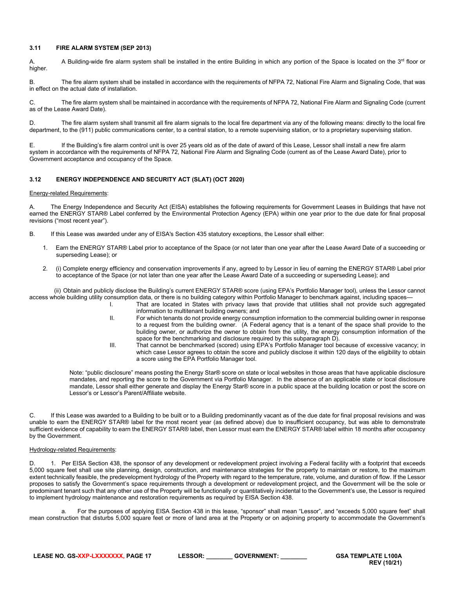### <span id="page-16-0"></span>**3.11 FIRE ALARM SYSTEM (SEP 2013)**

A. A Building-wide fire alarm system shall be installed in the entire Building in which any portion of the Space is located on the 3<sup>rd</sup> floor or higher.

B. The fire alarm system shall be installed in accordance with the requirements of NFPA 72, National Fire Alarm and Signaling Code, that was in effect on the actual date of installation.

C. The fire alarm system shall be maintained in accordance with the requirements of NFPA 72, National Fire Alarm and Signaling Code (current as of the Lease Award Date).

D. The fire alarm system shall transmit all fire alarm signals to the local fire department via any of the following means: directly to the local fire department, to the (911) public communications center, to a central station, to a remote supervising station, or to a proprietary supervising station.

E. If the Building's fire alarm control unit is over 25 years old as of the date of award of this Lease, Lessor shall install a new fire alarm system in accordance with the requirements of NFPA 72, National Fire Alarm and Signaling Code (current as of the Lease Award Date), prior to Government acceptance and occupancy of the Space.

### <span id="page-16-1"></span>**3.12 ENERGY INDEPENDENCE AND SECURITY ACT (SLAT) (OCT 2020)**

#### Energy-related Requirements:

A. The Energy Independence and Security Act (EISA) establishes the following requirements for Government Leases in Buildings that have not earned the ENERGY STAR® Label conferred by the Environmental Protection Agency (EPA) within one year prior to the due date for final proposal revisions ("most recent year").

- B. If this Lease was awarded under any of EISA's Section 435 statutory exceptions, the Lessor shall either:
	- 1. Earn the ENERGY STAR® Label prior to acceptance of the Space (or not later than one year after the Lease Award Date of a succeeding or superseding Lease); or
	- 2. (i) Complete energy efficiency and conservation improvements if any, agreed to by Lessor in lieu of earning the ENERGY STAR® Label prior to acceptance of the Space (or not later than one year after the Lease Award Date of a succeeding or superseding Lease); and

 (ii) Obtain and publicly disclose the Building's current ENERGY STAR® score (using EPA's Portfolio Manager tool), unless the Lessor cannot access whole building utility consumption data, or there is no building category within Portfolio Manager to benchmark against, including spaces—

- I. That are located in States with privacy laws that provide that utilities shall not provide such aggregated information to multitenant building owners; and
- II. For which tenants do not provide energy consumption information to the commercial building owner in response to a request from the building owner. (A Federal agency that is a tenant of the space shall provide to the building owner, or authorize the owner to obtain from the utility, the energy consumption information of the space for the benchmarking and disclosure required by this subparagraph D).
- III. That cannot be benchmarked (scored) using EPA's Portfolio Manager tool because of excessive vacancy; in which case Lessor agrees to obtain the score and publicly disclose it within 120 days of the eligibility to obtain a score using the EPA Portfolio Manager tool.

Note: "public disclosure" means posting the Energy Star® score on state or local websites in those areas that have applicable disclosure mandates, and reporting the score to the Government via Portfolio Manager. In the absence of an applicable state or local disclosure mandate, Lessor shall either generate and display the Energy Star® score in a public space at the building location or post the score on Lessor's or Lessor's Parent/Affiliate website.

C. If this Lease was awarded to a Building to be built or to a Building predominantly vacant as of the due date for final proposal revisions and was unable to earn the ENERGY STAR® label for the most recent year (as defined above) due to insufficient occupancy, but was able to demonstrate sufficient evidence of capability to earn the ENERGY STAR® label, then Lessor must earn the ENERGY STAR® label within 18 months after occupancy by the Government.

### Hydrology-related Requirements:

D. 1. Per EISA Section 438, the sponsor of any development or redevelopment project involving a Federal facility with a footprint that exceeds 5,000 square feet shall use site planning, design, construction, and maintenance strategies for the property to maintain or restore, to the maximum extent technically feasible, the predevelopment hydrology of the Property with regard to the temperature, rate, volume, and duration of flow. If the Lessor proposes to satisfy the Government's space requirements through a development or redevelopment project, and the Government will be the sole or predominant tenant such that any other use of the Property will be functionally or quantitatively incidental to the Government's use, the Lessor is required to implement hydrology maintenance and restoration requirements as required by EISA Section 438.

a. For the purposes of applying EISA Section 438 in this lease, "sponsor" shall mean "Lessor", and "exceeds 5,000 square feet" shall mean construction that disturbs 5,000 square feet or more of land area at the Property or on adjoining property to accommodate the Government's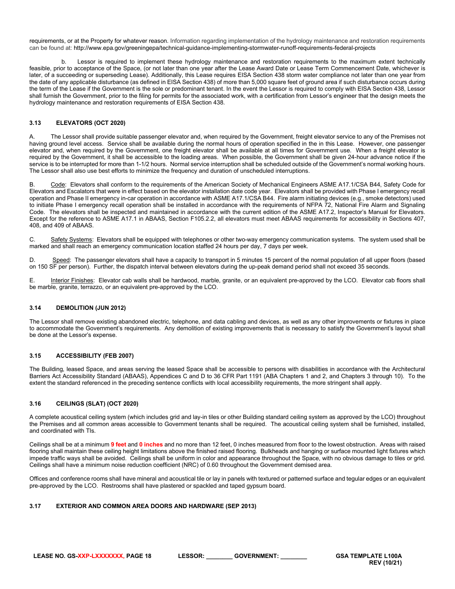requirements, or at the Property for whatever reason. Information regarding implementation of the hydrology maintenance and restoration requirements can be found at: http://www.epa.gov/greeningepa/technical-guidance-implementing-stormwater-runoff-requirements-federal-projects

Lessor is required to implement these hydrology maintenance and restoration requirements to the maximum extent technically feasible, prior to acceptance of the Space, (or not later than one year after the Lease Award Date or Lease Term Commencement Date, whichever is later, of a succeeding or superseding Lease). Additionally, this Lease requires EISA Section 438 storm water compliance not later than one year from the date of any applicable disturbance (as defined in EISA Section 438) of more than 5,000 square feet of ground area if such disturbance occurs during the term of the Lease if the Government is the sole or predominant tenant. In the event the Lessor is required to comply with EISA Section 438, Lessor shall furnish the Government, prior to the filing for permits for the associated work, with a certification from Lessor's engineer that the design meets the hydrology maintenance and restoration requirements of EISA Section 438.

### <span id="page-17-0"></span>**3.13 ELEVATORS (OCT 2020)**

A. The Lessor shall provide suitable passenger elevator and, when required by the Government, freight elevator service to any of the Premises not having ground level access. Service shall be available during the normal hours of operation specified in the in this Lease. However, one passenger elevator and, when required by the Government, one freight elevator shall be available at all times for Government use. When a freight elevator is required by the Government, it shall be accessible to the loading areas. When possible, the Government shall be given 24-hour advance notice if the service is to be interrupted for more than 1-1/2 hours. Normal service interruption shall be scheduled outside of the Government's normal working hours. The Lessor shall also use best efforts to minimize the frequency and duration of unscheduled interruptions.

B. Code: Elevators shall conform to the requirements of the American Society of Mechanical Engineers ASME A17.1/CSA B44, Safety Code for Elevators and Escalators that were in effect based on the elevator installation date code year. Elevators shall be provided with Phase I emergency recall operation and Phase II emergency in-car operation in accordance with ASME A17.1/CSA B44. Fire alarm initiating devices (e.g., smoke detectors) used to initiate Phase I emergency recall operation shall be installed in accordance with the requirements of NFPA 72, National Fire Alarm and Signaling Code. The elevators shall be inspected and maintained in accordance with the current edition of the ASME A17.2, Inspector's Manual for Elevators. Except for the reference to ASME A17.1 in ABAAS, Section F105.2.2, all elevators must meet ABAAS requirements for accessibility in Sections 407, 408, and 409 of ABAAS.

C. Safety Systems: Elevators shall be equipped with telephones or other two-way emergency communication systems. The system used shall be marked and shall reach an emergency communication location staffed 24 hours per day, 7 days per week.

D. Speed: The passenger elevators shall have a capacity to transport in 5 minutes 15 percent of the normal population of all upper floors (based on 150 SF per person). Further, the dispatch interval between elevators during the up-peak demand period shall not exceed 35 seconds.

E. **Interior Finishes:** Elevator cab walls shall be hardwood, marble, granite, or an equivalent pre-approved by the LCO. Elevator cab floors shall be marble, granite, terrazzo, or an equivalent pre-approved by the LCO.

### <span id="page-17-1"></span>**3.14 DEMOLITION (JUN 2012)**

The Lessor shall remove existing abandoned electric, telephone, and data cabling and devices, as well as any other improvements or fixtures in place to accommodate the Government's requirements. Any demolition of existing improvements that is necessary to satisfy the Government's layout shall be done at the Lessor's expense.

### <span id="page-17-2"></span>**3.15 ACCESSIBILITY (FEB 2007)**

The Building, leased Space, and areas serving the leased Space shall be accessible to persons with disabilities in accordance with the Architectural Barriers Act Accessibility Standard (ABAAS), Appendices C and D to 36 CFR Part 1191 (ABA Chapters 1 and 2, and Chapters 3 through 10). To the extent the standard referenced in the preceding sentence conflicts with local accessibility requirements, the more stringent shall apply.

### <span id="page-17-3"></span>**3.16 CEILINGS (SLAT) (OCT 2020)**

A complete acoustical ceiling system (which includes grid and lay-in tiles or other Building standard ceiling system as approved by the LCO) throughout the Premises and all common areas accessible to Government tenants shall be required. The acoustical ceiling system shall be furnished, installed, and coordinated with TIs.

Ceilings shall be at a minimum **9 feet** and **0 inches** and no more than 12 feet, 0 inches measured from floor to the lowest obstruction. Areas with raised flooring shall maintain these ceiling height limitations above the finished raised flooring. Bulkheads and hanging or surface mounted light fixtures which impede traffic ways shall be avoided. Ceilings shall be uniform in color and appearance throughout the Space, with no obvious damage to tiles or grid. Ceilings shall have a minimum noise reduction coefficient (NRC) of 0.60 throughout the Government demised area.

Offices and conference rooms shall have mineral and acoustical tile or lay in panels with textured or patterned surface and tegular edges or an equivalent pre-approved by the LCO. Restrooms shall have plastered or spackled and taped gypsum board.

### <span id="page-17-4"></span>**3.17 EXTERIOR AND COMMON AREA DOORS AND HARDWARE (SEP 2013)**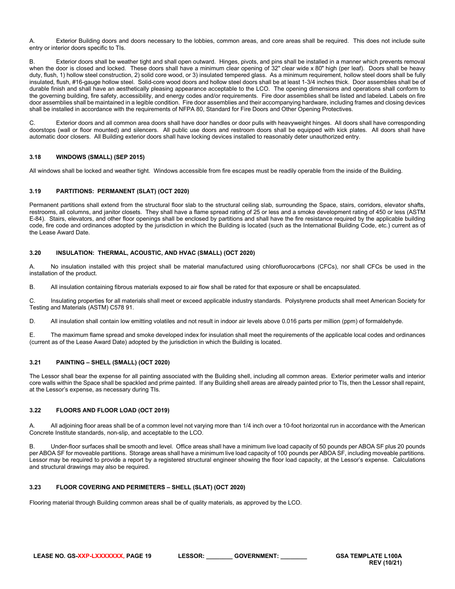A. Exterior Building doors and doors necessary to the lobbies, common areas, and core areas shall be required. This does not include suite entry or interior doors specific to TIs.

B. Exterior doors shall be weather tight and shall open outward. Hinges, pivots, and pins shall be installed in a manner which prevents removal when the door is closed and locked. These doors shall have a minimum clear opening of 32" clear wide x 80" high (per leaf). Doors shall be heavy duty, flush, 1) hollow steel construction, 2) solid core wood, or 3) insulated tempered glass. As a minimum requirement, hollow steel doors shall be fully insulated, flush, #16-gauge hollow steel. Solid-core wood doors and hollow steel doors shall be at least 1-3/4 inches thick. Door assemblies shall be of durable finish and shall have an aesthetically pleasing appearance acceptable to the LCO. The opening dimensions and operations shall conform to the governing building, fire safety, accessibility, and energy codes and/or requirements. Fire door assemblies shall be listed and labeled. Labels on fire door assemblies shall be maintained in a legible condition. Fire door assemblies and their accompanying hardware, including frames and closing devices shall be installed in accordance with the requirements of NFPA 80, Standard for Fire Doors and Other Opening Protectives.

C. Exterior doors and all common area doors shall have door handles or door pulls with heavyweight hinges. All doors shall have corresponding doorstops (wall or floor mounted) and silencers. All public use doors and restroom doors shall be equipped with kick plates. All doors shall have automatic door closers. All Building exterior doors shall have locking devices installed to reasonably deter unauthorized entry.

### <span id="page-18-0"></span>**3.18 WINDOWS (SMALL) (SEP 2015)**

All windows shall be locked and weather tight. Windows accessible from fire escapes must be readily operable from the inside of the Building.

### <span id="page-18-1"></span>**3.19 PARTITIONS: PERMANENT (SLAT) (OCT 2020)**

Permanent partitions shall extend from the structural floor slab to the structural ceiling slab, surrounding the Space, stairs, corridors, elevator shafts, restrooms, all columns, and janitor closets. They shall have a flame spread rating of 25 or less and a smoke development rating of 450 or less (ASTM E-84). Stairs, elevators, and other floor openings shall be enclosed by partitions and shall have the fire resistance required by the applicable building code, fire code and ordinances adopted by the jurisdiction in which the Building is located (such as the International Building Code, etc.) current as of the Lease Award Date.

### <span id="page-18-2"></span>**3.20 INSULATION: THERMAL, ACOUSTIC, AND HVAC (SMALL) (OCT 2020)**

A. No insulation installed with this project shall be material manufactured using chlorofluorocarbons (CFCs), nor shall CFCs be used in the installation of the product.

B. All insulation containing fibrous materials exposed to air flow shall be rated for that exposure or shall be encapsulated.

C. Insulating properties for all materials shall meet or exceed applicable industry standards. Polystyrene products shall meet American Society for Testing and Materials (ASTM) C578 91.

D. All insulation shall contain low emitting volatiles and not result in indoor air levels above 0.016 parts per million (ppm) of formaldehyde.

E. The maximum flame spread and smoke developed index for insulation shall meet the requirements of the applicable local codes and ordinances (current as of the Lease Award Date) adopted by the jurisdiction in which the Building is located.

### <span id="page-18-3"></span>**3.21 PAINTING – SHELL (SMALL) (OCT 2020)**

The Lessor shall bear the expense for all painting associated with the Building shell, including all common areas. Exterior perimeter walls and interior core walls within the Space shall be spackled and prime painted. If any Building shell areas are already painted prior to TIs, then the Lessor shall repaint, at the Lessor's expense, as necessary during TIs.

### <span id="page-18-4"></span>**3.22 FLOORS AND FLOOR LOAD (OCT 2019)**

All adjoining floor areas shall be of a common level not varying more than 1/4 inch over a 10-foot horizontal run in accordance with the American Concrete Institute standards, non-slip, and acceptable to the LCO.

B. Under-floor surfaces shall be smooth and level. Office areas shall have a minimum live load capacity of 50 pounds per ABOA SF plus 20 pounds per ABOA SF for moveable partitions. Storage areas shall have a minimum live load capacity of 100 pounds per ABOA SF, including moveable partitions. Lessor may be required to provide a report by a registered structural engineer showing the floor load capacity, at the Lessor's expense. Calculations and structural drawings may also be required.

### <span id="page-18-5"></span>**3.23 FLOOR COVERING AND PERIMETERS – SHELL (SLAT) (OCT 2020)**

Flooring material through Building common areas shall be of quality materials, as approved by the LCO.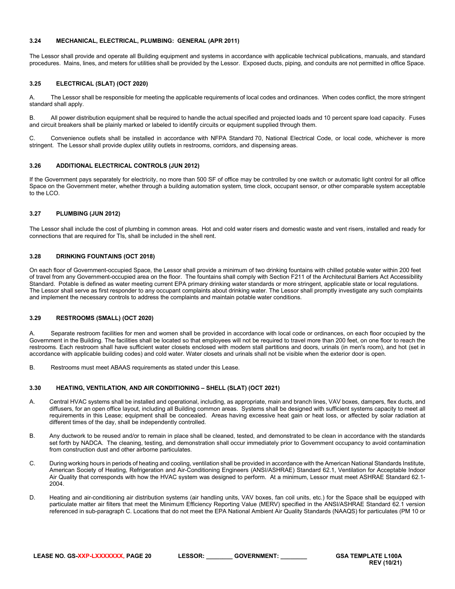### <span id="page-19-0"></span>**3.24 MECHANICAL, ELECTRICAL, PLUMBING: GENERAL (APR 2011)**

The Lessor shall provide and operate all Building equipment and systems in accordance with applicable technical publications, manuals, and standard procedures. Mains, lines, and meters for utilities shall be provided by the Lessor. Exposed ducts, piping, and conduits are not permitted in office Space.

### <span id="page-19-1"></span>**3.25 ELECTRICAL (SLAT) (OCT 2020)**

A. The Lessor shall be responsible for meeting the applicable requirements of local codes and ordinances. When codes conflict, the more stringent standard shall apply.

B. All power distribution equipment shall be required to handle the actual specified and projected loads and 10 percent spare load capacity. Fuses and circuit breakers shall be plainly marked or labeled to identify circuits or equipment supplied through them.

C. Convenience outlets shall be installed in accordance with NFPA Standard 70, National Electrical Code, or local code, whichever is more stringent. The Lessor shall provide duplex utility outlets in restrooms, corridors, and dispensing areas.

### <span id="page-19-2"></span>**3.26 ADDITIONAL ELECTRICAL CONTROLS (JUN 2012)**

If the Government pays separately for electricity, no more than 500 SF of office may be controlled by one switch or automatic light control for all office Space on the Government meter, whether through a building automation system, time clock, occupant sensor, or other comparable system acceptable to the LCO.

#### <span id="page-19-3"></span>**3.27 PLUMBING (JUN 2012)**

The Lessor shall include the cost of plumbing in common areas. Hot and cold water risers and domestic waste and vent risers, installed and ready for connections that are required for TIs, shall be included in the shell rent.

#### <span id="page-19-4"></span>**3.28 DRINKING FOUNTAINS (OCT 2018)**

On each floor of Government-occupied Space, the Lessor shall provide a minimum of two drinking fountains with chilled potable water within 200 feet of travel from any Government-occupied area on the floor. The fountains shall comply with Section F211 of the Architectural Barriers Act Accessibility Standard. Potable is defined as water meeting current EPA primary drinking water standards or more stringent, applicable state or local regulations. The Lessor shall serve as first responder to any occupant complaints about drinking water. The Lessor shall promptly investigate any such complaints and implement the necessary controls to address the complaints and maintain potable water conditions.

### <span id="page-19-5"></span>**3.29 RESTROOMS (SMALL) (OCT 2020)**

A. Separate restroom facilities for men and women shall be provided in accordance with local code or ordinances, on each floor occupied by the Government in the Building. The facilities shall be located so that employees will not be required to travel more than 200 feet, on one floor to reach the restrooms. Each restroom shall have sufficient water closets enclosed with modern stall partitions and doors, urinals (in men's room), and hot (set in accordance with applicable building codes) and cold water. Water closets and urinals shall not be visible when the exterior door is open.

B. Restrooms must meet ABAAS requirements as stated under this Lease.

#### <span id="page-19-6"></span>**3.30 HEATING, VENTILATION, AND AIR CONDITIONING – SHELL (SLAT) (OCT 2021)**

- A. Central HVAC systems shall be installed and operational, including, as appropriate, main and branch lines, VAV boxes, dampers, flex ducts, and diffusers, for an open office layout, including all Building common areas. Systems shall be designed with sufficient systems capacity to meet all requirements in this Lease; equipment shall be concealed. Areas having excessive heat gain or heat loss, or affected by solar radiation at different times of the day, shall be independently controlled.
- B. Any ductwork to be reused and/or to remain in place shall be cleaned, tested, and demonstrated to be clean in accordance with the standards set forth by NADCA. The cleaning, testing, and demonstration shall occur immediately prior to Government occupancy to avoid contamination from construction dust and other airborne particulates.
- C. During working hours in periods of heating and cooling, ventilation shall be provided in accordance with the American National Standards Institute, American Society of Heating, Refrigeration and Air-Conditioning Engineers (ANSI/ASHRAE) Standard 62.1, Ventilation for Acceptable Indoor Air Quality that corresponds with how the HVAC system was designed to perform. At a minimum, Lessor must meet ASHRAE Standard 62.1- 2004.
- D. Heating and air-conditioning air distribution systems (air handling units, VAV boxes, fan coil units, etc.) for the Space shall be equipped with particulate matter air filters that meet the Minimum Efficiency Reporting Value (MERV) specified in the ANSI/ASHRAE Standard 62.1 version referenced in sub-paragraph C. Locations that do not meet the EPA National Ambient Air Quality Standards (NAAQS) for particulates (PM 10 or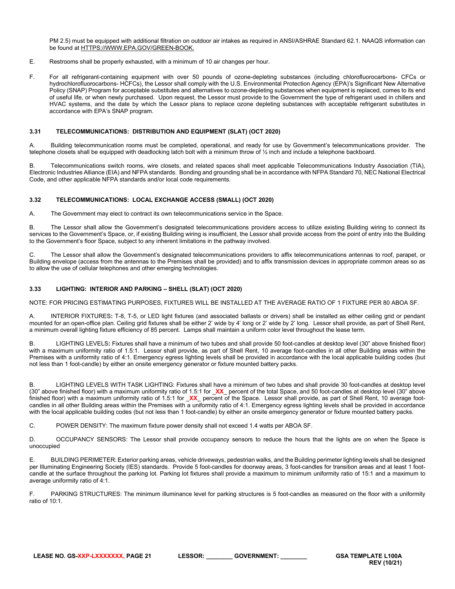PM 2.5) must be equipped with additional filtration on outdoor air intakes as required in ANSI/ASHRAE Standard 62.1. NAAQS information can be found at [HTTPS://WWW.EPA.GOV/GREEN-BOOK.](https://www.epa.gov/green-book)

- E. Restrooms shall be properly exhausted, with a minimum of 10 air changes per hour.
- F. For all refrigerant-containing equipment with over 50 pounds of ozone-depleting substances (including chlorofluorocarbons- CFCs or hydrochlorofluorocarbons- HCFCs), the Lessor shall comply with the U.S. Environmental Protection Agency (EPA)'s Significant New Alternative Policy (SNAP) Program for acceptable substitutes and alternatives to ozone-depleting substances when equipment is replaced, comes to its end of useful life, or when newly purchased. Upon request, the Lessor must provide to the Government the type of refrigerant used in chillers and HVAC systems, and the date by which the Lessor plans to replace ozone depleting substances with acceptable refrigerant substitutes in accordance with EPA's SNAP program.

#### <span id="page-20-0"></span>**3.31 TELECOMMUNICATIONS: DISTRIBUTION AND EQUIPMENT (SLAT) (OCT 2020)**

A. Building telecommunication rooms must be completed, operational, and ready for use by Government's telecommunications provider. The telephone closets shall be equipped with deadlocking latch bolt with a minimum throw of ½ inch and include a telephone backboard.

B. Telecommunications switch rooms, wire closets, and related spaces shall meet applicable Telecommunications Industry Association (TIA), Electronic Industries Alliance (EIA) and NFPA standards. Bonding and grounding shall be in accordance with NFPA Standard 70, NEC National Electrical Code, and other applicable NFPA standards and/or local code requirements.

### <span id="page-20-1"></span>**3.32 TELECOMMUNICATIONS: LOCAL EXCHANGE ACCESS (SMALL) (OCT 2020)**

A. The Government may elect to contract its own telecommunications service in the Space.

B. The Lessor shall allow the Government's designated telecommunications providers access to utilize existing Building wiring to connect its services to the Government's Space, or, if existing Building wiring is insufficient, the Lessor shall provide access from the point of entry into the Building to the Government's floor Space, subject to any inherent limitations in the pathway involved.

C. The Lessor shall allow the Government's designated telecommunications providers to affix telecommunications antennas to roof, parapet, or Building envelope (access from the antennas to the Premises shall be provided) and to affix transmission devices in appropriate common areas so as to allow the use of cellular telephones and other emerging technologies.

#### <span id="page-20-2"></span>**3.33 LIGHTING: INTERIOR AND PARKING – SHELL (SLAT) (OCT 2020)**

NOTE: FOR PRICING ESTIMATING PURPOSES, FIXTURES WILL BE INSTALLED AT THE AVERAGE RATIO OF 1 FIXTURE PER 80 ABOA SF.

A. INTERIOR FIXTURES**:** T-8, T-5, or LED light fixtures (and associated ballasts or drivers) shall be installed as either ceiling grid or pendant mounted for an open-office plan. Ceiling grid fixtures shall be either 2' wide by 4' long or 2' wide by 2' long. Lessor shall provide, as part of Shell Rent, a minimum overall lighting fixture efficiency of 85 percent. Lamps shall maintain a uniform color level throughout the lease term.

B. LIGHTING LEVELS**:** Fixtures shall have a minimum of two tubes and shall provide 50 foot-candles at desktop level (30" above finished floor) with a maximum uniformity ratio of 1.5:1. Lessor shall provide, as part of Shell Rent, 10 average foot-candles in all other Building areas within the Premises with a uniformity ratio of 4:1. Emergency egress lighting levels shall be provided in accordance with the local applicable building codes (but not less than 1 foot-candle) by either an onsite emergency generator or fixture mounted battery packs.

B. LIGHTING LEVELS WITH TASK LIGHTING: Fixtures shall have a minimum of two tubes and shall provide 30 foot-candles at desktop level (30" above finished floor) with a maximum uniformity ratio of 1.5:1 for \_**XX**\_ percent of the total Space, and 50 foot-candles at desktop level (30" above finished floor) with a maximum uniformity ratio of 1.5:1 for **XX** percent of the Space. Lessor shall provide, as part of Shell Rent, 10 average footcandles in all other Building areas within the Premises with a uniformity ratio of 4:1. Emergency egress lighting levels shall be provided in accordance with the local applicable building codes (but not less than 1 foot-candle) by either an onsite emergency generator or fixture mounted battery packs.

C. POWER DENSITY: The maximum fixture power density shall not exceed 1.4 watts per ABOA SF.

D. OCCUPANCY SENSORS: The Lessor shall provide occupancy sensors to reduce the hours that the lights are on when the Space is unoccupied

E. BUILDING PERIMETER: Exterior parking areas, vehicle driveways, pedestrian walks, and the Building perimeter lighting levels shall be designed per Illuminating Engineering Society (IES) standards. Provide 5 foot-candles for doorway areas, 3 foot-candles for transition areas and at least 1 footcandle at the surface throughout the parking lot. Parking lot fixtures shall provide a maximum to minimum uniformity ratio of 15:1 and a maximum to average uniformity ratio of 4:1.

F. PARKING STRUCTURES: The minimum illuminance level for parking structures is 5 foot-candles as measured on the floor with a uniformity ratio of 10:1.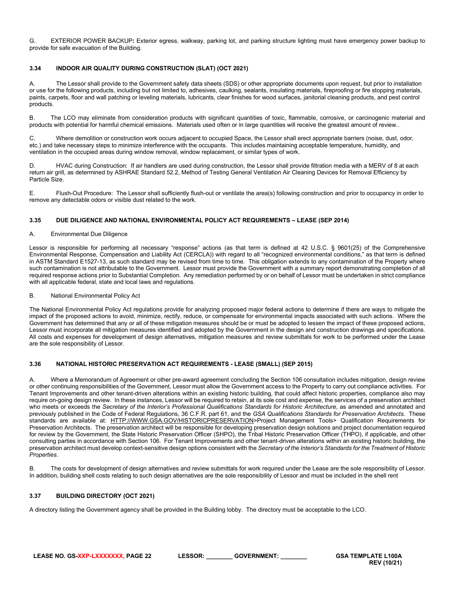G. EXTERIOR POWER BACKUP**:** Exterior egress, walkway, parking lot, and parking structure lighting must have emergency power backup to provide for safe evacuation of the Building.

### <span id="page-21-0"></span>**3.34 INDOOR AIR QUALITY DURING CONSTRUCTION (SLAT) (OCT 2021)**

A. The Lessor shall provide to the Government safety data sheets (SDS) or other appropriate documents upon request, but prior to installation or use for the following products, including but not limited to, adhesives, caulking, sealants, insulating materials, fireproofing or fire stopping materials, paints, carpets, floor and wall patching or leveling materials, lubricants, clear finishes for wood surfaces, janitorial cleaning products, and pest control products.

B. The LCO may eliminate from consideration products with significant quantities of toxic, flammable, corrosive, or carcinogenic material and products with potential for harmful chemical emissions. Materials used often or in large quantities will receive the greatest amount of review..

C. Where demolition or construction work occurs adjacent to occupied Space, the Lessor shall erect appropriate barriers (noise, dust, odor, etc.) and take necessary steps to minimize interference with the occupants. This includes maintaining acceptable temperature, humidity, and ventilation in the occupied areas during window removal, window replacement, or similar types of work.

D. HVAC during Construction: If air handlers are used during construction, the Lessor shall provide filtration media with a MERV of 8 at each return air grill, as determined by ASHRAE Standard 52.2, Method of Testing General Ventilation Air Cleaning Devices for Removal Efficiency by Particle Size.

E. Flush-Out Procedure: The Lessor shall sufficiently flush-out or ventilate the area(s) following construction and prior to occupancy in order to remove any detectable odors or visible dust related to the work.

### <span id="page-21-1"></span>**3.35 DUE DILIGENCE AND NATIONAL ENVIRONMENTAL POLICY ACT REQUIREMENTS – LEASE (SEP 2014)**

### A. Environmental Due Diligence

Lessor is responsible for performing all necessary "response" actions (as that term is defined at 42 U.S.C. § 9601(25) of the Comprehensive Environmental Response, Compensation and Liability Act (CERCLA)) with regard to all "recognized environmental conditions," as that term is defined in ASTM Standard E1527-13, as such standard may be revised from time to time. This obligation extends to any contamination of the Property where such contamination is not attributable to the Government. Lessor must provide the Government with a summary report demonstrating completion of all required response actions prior to Substantial Completion. Any remediation performed by or on behalf of Lessor must be undertaken in strict compliance with all applicable federal, state and local laws and regulations.

#### B. National Environmental Policy Act

The National Environmental Policy Act regulations provide for analyzing proposed major federal actions to determine if there are ways to mitigate the impact of the proposed actions to avoid, minimize, rectify, reduce, or compensate for environmental impacts associated with such actions. Where the Government has determined that any or all of these mitigation measures should be or must be adopted to lessen the impact of these proposed actions, Lessor must incorporate all mitigation measures identified and adopted by the Government in the design and construction drawings and specifications. All costs and expenses for development of design alternatives, mitigation measures and review submittals for work to be performed under the Lease are the sole responsibility of Lessor.

### <span id="page-21-2"></span>**3.36 NATIONAL HISTORIC PRESERVATION ACT REQUIREMENTS - LEASE (SMALL) (SEP 2015)**

A. Where a Memorandum of Agreement or other pre-award agreement concluding the Section 106 consultation includes mitigation, design review or other continuing responsibilities of the Government, Lessor must allow the Government access to the Property to carry out compliance activities. For Tenant Improvements and other tenant-driven alterations within an existing historic building, that could affect historic properties, compliance also may require on-going design review. In these instances, Lessor will be required to retain, at its sole cost and expense, the services of a preservation architect who meets or exceeds the *Secretary of the Interior's Professional Qualifications Standards for Historic Architecture*, as amended and annotated and previously published in the Code of Federal Regulations, 36 C.F.R. part 61, and the *GSA Qualifications Standards for Preservation Architects*. These standards are available at: [HTTP://WWW.GSA.GOV/HISTORICPRESERVATION>](http://www.gsa.gov/historicpreservation)Project Management Tools> Qualification Requirements for Preservation Architects. The preservation architect will be responsible for developing preservation design solutions and project documentation required for review by the Government, the State Historic Preservation Officer (SHPO), the Tribal Historic Preservation Officer (THPO), if applicable, and other consulting parties in accordance with Section 106. For Tenant Improvements and other tenant-driven alterations within an existing historic building, the preservation architect must develop context-sensitive design options consistent with the *Secretary of the Interior's Standards for the Treatment of Historic Properties*.

B. The costs for development of design alternatives and review submittals for work required under the Lease are the sole responsibility of Lessor. In addition, building shell costs relating to such design alternatives are the sole responsibility of Lessor and must be included in the shell rent

### <span id="page-21-3"></span>**3.37 BUILDING DIRECTORY (OCT 2021)**

A directory listing the Government agency shall be provided in the Building lobby. The directory must be acceptable to the LCO.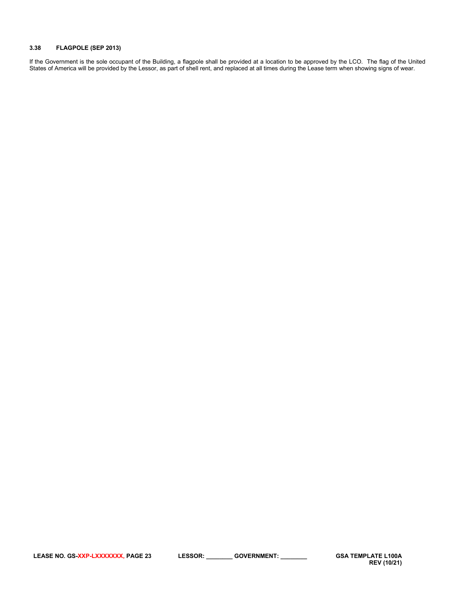### <span id="page-22-0"></span>**3.38 FLAGPOLE (SEP 2013)**

If the Government is the sole occupant of the Building, a flagpole shall be provided at a location to be approved by the LCO. The flag of the United States of America will be provided by the Lessor, as part of shell rent, and replaced at all times during the Lease term when showing signs of wear.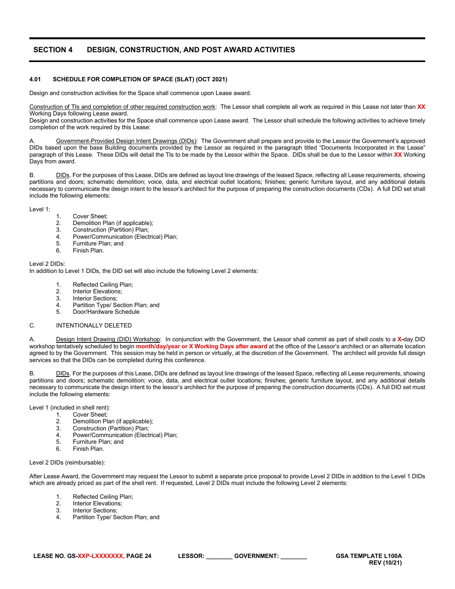# <span id="page-23-0"></span>**SECTION 4 DESIGN, CONSTRUCTION, AND POST AWARD ACTIVITIES**

#### <span id="page-23-1"></span>**4.01 SCHEDULE FOR COMPLETION OF SPACE (SLAT) (OCT 2021)**

Design and construction activities for the Space shall commence upon Lease award.

Construction of TIs and completion of other required construction work: The Lessor shall complete all work as required in this Lease not later than **XX**  Working Days following Lease award.

Design and construction activities for the Space shall commence upon Lease award. The Lessor shall schedule the following activities to achieve timely completion of the work required by this Lease:

Government-Provided Design Intent Drawings (DIDs): The Government shall prepare and provide to the Lessor the Government's approved DIDs based upon the base Building documents provided by the Lessor as required in the paragraph titled "Documents Incorporated in the Lease" paragraph of this Lease. These DIDs will detail the TIs to be made by the Lessor within the Space. DIDs shall be due to the Lessor within **XX** Working Days from award.

B. DIDs. For the purposes of this Lease, DIDs are defined as layout line drawings of the leased Space, reflecting all Lease requirements, showing partitions and doors; schematic demolition; voice, data, and electrical outlet locations; finishes; generic furniture layout, and any additional details necessary to communicate the design intent to the lessor's architect for the purpose of preparing the construction documents (CDs). A full DID set shall include the following elements:

#### Level 1:

- 1. Cover Sheet;
- 2. Demolition Plan (if applicable);<br>3. Construction (Partition) Plan;
- 3. Construction (Partition) Plan;
- 4. Power/Communication (Electrical) Plan;<br>5. Furniture Plan: and
- 5. Furniture Plan; and
- 6. Finish Plan.

Level 2 DIDs:

In addition to Level 1 DIDs, the DID set will also include the following Level 2 elements:

- 1. Reflected Ceiling Plan;<br>2. Interior Flevations:
- 2. Interior Elevations;<br>3. Interior Sections;
- 3. Interior Sections;<br>4 Partition Type/ Se
- 4. Partition Type/ Section Plan; and<br>5. Door/Hardware Schedule
- 5. Door/Hardware Schedule

#### C. INTENTIONALLY DELETED

A. Design Intent Drawing (DID) Workshop: In conjunction with the Government, the Lessor shall commit as part of shell costs to a **X-**day DID workshop tentatively scheduled to begin **month/day/year or X Working Days after award** at the office of the Lessor's architect or an alternate location agreed to by the Government. This session may be held in person or virtually, at the discretion of the Government. The architect will provide full design services so that the DIDs can be completed during this conference.

B. DIDs. For the purposes of this Lease, DIDs are defined as layout line drawings of the leased Space, reflecting all Lease requirements, showing partitions and doors; schematic demolition; voice, data, and electrical outlet locations; finishes; generic furniture layout, and any additional details necessary to communicate the design intent to the lessor's architect for the purpose of preparing the construction documents (CDs). A full DID set must include the following elements:

Level 1 (included in shell rent):

- 1. Cover Sheet;<br>2. Demolition Pla
- 2. Demolition Plan (if applicable);<br>3. Construction (Partition) Plan;
- 3. Construction (Partition) Plan;
- 4. Power/Communication (Electrical) Plan;<br>5. Furniture Plan; and
- 5. Furniture Plan; and<br>6. Finish Plan
- 6. Finish Plan.

Level 2 DIDs (reimbursable):

After Lease Award, the Government may request the Lessor to submit a separate price proposal to provide Level 2 DIDs in addition to the Level 1 DIDs which are already priced as part of the shell rent. If requested, Level 2 DIDs must include the following Level 2 elements:

- 1. Reflected Ceiling Plan;
- 
- 2. Interior Elevations;<br>3. Interior Sections; Interior Sections:
- 4. Partition Type/ Section Plan; and

**REV (10/21)**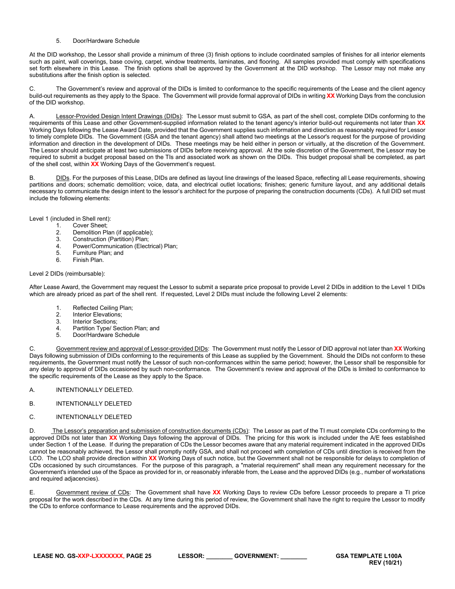### 5. Door/Hardware Schedule

At the DID workshop, the Lessor shall provide a minimum of three (3) finish options to include coordinated samples of finishes for all interior elements such as paint, wall coverings, base coving, carpet, window treatments, laminates, and flooring. All samples provided must comply with specifications set forth elsewhere in this Lease. The finish options shall be approved by the Government at the DID workshop. The Lessor may not make any substitutions after the finish option is selected.

C. The Government's review and approval of the DIDs is limited to conformance to the specific requirements of the Lease and the client agency build-out requirements as they apply to the Space. The Government will provide formal approval of DIDs in writing **XX** Working Days from the conclusion of the DID workshop.

A. Lessor-Provided Design Intent Drawings (DIDs): The Lessor must submit to GSA, as part of the shell cost, complete DIDs conforming to the requirements of this Lease and other Government-supplied information related to the tenant agency's interior build-out requirements not later than **XX** Working Days following the Lease Award Date, provided that the Government supplies such information and direction as reasonably required for Lessor to timely complete DIDs. The Government (GSA and the tenant agency) shall attend two meetings at the Lessor's request for the purpose of providing information and direction in the development of DIDs. These meetings may be held either in person or virtually, at the discretion of the Government. The Lessor should anticipate at least two submissions of DIDs before receiving approval. At the sole discretion of the Government, the Lessor may be required to submit a budget proposal based on the TIs and associated work as shown on the DIDs. This budget proposal shall be completed, as part of the shell cost, within **XX** Working Days of the Government's request.

B. DIDs. For the purposes of this Lease, DIDs are defined as layout line drawings of the leased Space, reflecting all Lease requirements, showing partitions and doors; schematic demolition; voice, data, and electrical outlet locations; finishes; generic furniture layout, and any additional details necessary to communicate the design intent to the lessor's architect for the purpose of preparing the construction documents (CDs). A full DID set must include the following elements:

Level 1 (included in Shell rent):

- 1. Cover Sheet;<br>2. Demolition Pla
- 2. Demolition Plan (if applicable);<br>3. Construction (Partition) Plan:
- 3. Construction (Partition) Plan;<br>4 Power/Communication (Flect
- 4. Power/Communication (Electrical) Plan;<br>5. Furniture Plan; and
- 5. Furniture Plan; and
- 6. Finish Plan.

Level 2 DIDs (reimbursable):

After Lease Award, the Government may request the Lessor to submit a separate price proposal to provide Level 2 DIDs in addition to the Level 1 DIDs which are already priced as part of the shell rent. If requested, Level 2 DIDs must include the following Level 2 elements:

- 1. Reflected Ceiling Plan;<br>2. Interior Elevations:
- Interior Elevations:
- 3. Interior Sections;<br>4. Partition Type/Se
- Partition Type/ Section Plan; and
- 5. Door/Hardware Schedule

Government review and approval of Lessor-provided DIDs: The Government must notify the Lessor of DID approval not later than XX Working Days following submission of DIDs conforming to the requirements of this Lease as supplied by the Government. Should the DIDs not conform to these requirements, the Government must notify the Lessor of such non-conformances within the same period; however, the Lessor shall be responsible for any delay to approval of DIDs occasioned by such non-conformance. The Government's review and approval of the DIDs is limited to conformance to the specific requirements of the Lease as they apply to the Space.

- A. INTENTIONALLY DELETED.
- B. INTENTIONALLY DELETED
- C. INTENTIONALLY DELETED

D. The Lessor's preparation and submission of construction documents (CDs): The Lessor as part of the TI must complete CDs conforming to the approved DIDs not later than **XX** Working Days following the approval of DIDs. The pricing for this work is included under the A/E fees established under Section 1 of the Lease. If during the preparation of CDs the Lessor becomes aware that any material requirement indicated in the approved DIDs cannot be reasonably achieved, the Lessor shall promptly notify GSA, and shall not proceed with completion of CDs until direction is received from the LCO. The LCO shall provide direction within **XX** Working Days of such notice, but the Government shall not be responsible for delays to completion of CDs occasioned by such circumstances. For the purpose of this paragraph, a "material requirement" shall mean any requirement necessary for the Government's intended use of the Space as provided for in, or reasonably inferable from, the Lease and the approved DIDs (e.g., number of workstations and required adjacencies).

E. Government review of CDs: The Government shall have **XX** Working Days to review CDs before Lessor proceeds to prepare a TI price proposal for the work described in the CDs. At any time during this period of review, the Government shall have the right to require the Lessor to modify the CDs to enforce conformance to Lease requirements and the approved DIDs.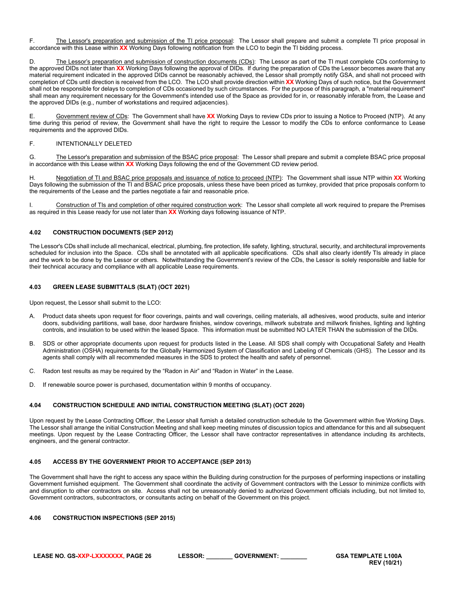F. The Lessor's preparation and submission of the TI price proposal: The Lessor shall prepare and submit a complete TI price proposal in accordance with this Lease within **XX** Working Days following notification from the LCO to begin the TI bidding process.

D. The Lessor's preparation and submission of construction documents (CDs): The Lessor as part of the TI must complete CDs conforming to the approved DIDs not later than **XX** Working Days following the approval of DIDs. If during the preparation of CDs the Lessor becomes aware that any material requirement indicated in the approved DIDs cannot be reasonably achieved, the Lessor shall promptly notify GSA, and shall not proceed with completion of CDs until direction is received from the LCO. The LCO shall provide direction within **XX** Working Days of such notice, but the Government shall not be responsible for delays to completion of CDs occasioned by such circumstances. For the purpose of this paragraph, a "material requirement" shall mean any requirement necessary for the Government's intended use of the Space as provided for in, or reasonably inferable from, the Lease and the approved DIDs (e.g., number of workstations and required adjacencies).

E. Government review of CDs: The Government shall have **XX** Working Days to review CDs prior to issuing a Notice to Proceed (NTP). At any time during this period of review, the Government shall have the right to require the Lessor to modify the CDs to enforce conformance to Lease requirements and the approved DIDs.

### F. INTENTIONALLY DELETED

G. The Lessor's preparation and submission of the BSAC price proposal: The Lessor shall prepare and submit a complete BSAC price proposal in accordance with this Lease within **XX** Working Days following the end of the Government CD review period.

H. Negotiation of TI and BSAC price proposals and issuance of notice to proceed (NTP): The Government shall issue NTP within **XX** Working Days following the submission of the TI and BSAC price proposals, unless these have been priced as turnkey, provided that price proposals conform to the requirements of the Lease and the parties negotiate a fair and reasonable price.

I. Construction of TIs and completion of other required construction work: The Lessor shall complete all work required to prepare the Premises as required in this Lease ready for use not later than **XX** Working days following issuance of NTP.

### <span id="page-25-0"></span>**4.02 CONSTRUCTION DOCUMENTS (SEP 2012)**

The Lessor's CDs shall include all mechanical, electrical, plumbing, fire protection, life safety, lighting, structural, security, and architectural improvements scheduled for inclusion into the Space. CDs shall be annotated with all applicable specifications. CDs shall also clearly identify TIs already in place and the work to be done by the Lessor or others. Notwithstanding the Government's review of the CDs, the Lessor is solely responsible and liable for their technical accuracy and compliance with all applicable Lease requirements.

### <span id="page-25-1"></span>**4.03 GREEN LEASE SUBMITTALS (SLAT) (OCT 2021)**

Upon request, the Lessor shall submit to the LCO:

- A. Product data sheets upon request for floor coverings, paints and wall coverings, ceiling materials, all adhesives, wood products, suite and interior doors, subdividing partitions, wall base, door hardware finishes, window coverings, millwork substrate and millwork finishes, lighting and lighting controls, and insulation to be used within the leased Space. This information must be submitted NO LATER THAN the submission of the DIDs.
- SDS or other appropriate documents upon request for products listed in the Lease. All SDS shall comply with Occupational Safety and Health Administration (OSHA) requirements for the Globally Harmonized System of Classification and Labeling of Chemicals (GHS). The Lessor and its agents shall comply with all recommended measures in the SDS to protect the health and safety of personnel.
- C. Radon test results as may be required by the "Radon in Air" and "Radon in Water" in the Lease.
- D. If renewable source power is purchased, documentation within 9 months of occupancy.

### <span id="page-25-2"></span>**4.04 CONSTRUCTION SCHEDULE AND INITIAL CONSTRUCTION MEETING (SLAT) (OCT 2020)**

Upon request by the Lease Contracting Officer, the Lessor shall furnish a detailed construction schedule to the Government within five Working Days. The Lessor shall arrange the initial Construction Meeting and shall keep meeting minutes of discussion topics and attendance for this and all subsequent meetings. Upon request by the Lease Contracting Officer, the Lessor shall have contractor representatives in attendance including its architects, engineers, and the general contractor.

### <span id="page-25-3"></span>**4.05 ACCESS BY THE GOVERNMENT PRIOR TO ACCEPTANCE (SEP 2013)**

The Government shall have the right to access any space within the Building during construction for the purposes of performing inspections or installing Government furnished equipment. The Government shall coordinate the activity of Government contractors with the Lessor to minimize conflicts with and disruption to other contractors on site. Access shall not be unreasonably denied to authorized Government officials including, but not limited to, Government contractors, subcontractors, or consultants acting on behalf of the Government on this project.

### <span id="page-25-4"></span>**4.06 CONSTRUCTION INSPECTIONS (SEP 2015)**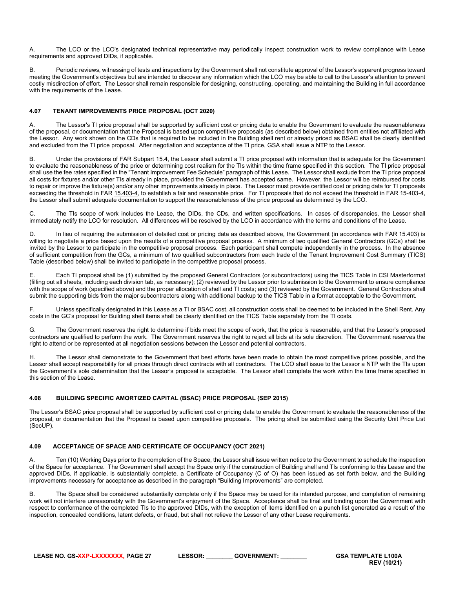A. The LCO or the LCO's designated technical representative may periodically inspect construction work to review compliance with Lease requirements and approved DIDs, if applicable.

B. Periodic reviews, witnessing of tests and inspections by the Government shall not constitute approval of the Lessor's apparent progress toward meeting the Government's objectives but are intended to discover any information which the LCO may be able to call to the Lessor's attention to prevent costly misdirection of effort. The Lessor shall remain responsible for designing, constructing, operating, and maintaining the Building in full accordance with the requirements of the Lease.

### <span id="page-26-0"></span>**4.07 TENANT IMPROVEMENTS PRICE PROPOSAL (OCT 2020)**

A. The Lessor's TI price proposal shall be supported by sufficient cost or pricing data to enable the Government to evaluate the reasonableness of the proposal, or documentation that the Proposal is based upon competitive proposals (as described below) obtained from entities not affiliated with the Lessor. Any work shown on the CDs that is required to be included in the Building shell rent or already priced as BSAC shall be clearly identified and excluded from the TI price proposal. After negotiation and acceptance of the TI price, GSA shall issue a NTP to the Lessor.

Under the provisions of FAR Subpart 15.4, the Lessor shall submit a TI price proposal with information that is adequate for the Government to evaluate the reasonableness of the price or determining cost realism for the TIs within the time frame specified in this section. The TI price proposal shall use the fee rates specified in the "Tenant Improvement Fee Schedule" paragraph of this Lease. The Lessor shall exclude from the TI price proposal all costs for fixtures and/or other TIs already in place, provided the Government has accepted same. However, the Lessor will be reimbursed for costs to repair or improve the fixture(s) and/or any other improvements already in place. The Lessor must provide certified cost or pricing data for TI proposals exceeding the threshold in FA[R 15.403-4,](https://www.acquisition.gov/far/current/html/Subpart%2015_4.html#wp1208430) to establish a fair and reasonable price. For TI proposals that do not exceed the threshold in FAR 15-403-4, the Lessor shall submit adequate documentation to support the reasonableness of the price proposal as determined by the LCO.

C. The TIs scope of work includes the Lease, the DIDs, the CDs, and written specifications. In cases of discrepancies, the Lessor shall immediately notify the LCO for resolution. All differences will be resolved by the LCO in accordance with the terms and conditions of the Lease.

D. In lieu of requiring the submission of detailed cost or pricing data as described above, the Government (in accordance with FAR 15.403) is willing to negotiate a price based upon the results of a competitive proposal process. A minimum of two qualified General Contractors (GCs) shall be invited by the Lessor to participate in the competitive proposal process. Each participant shall compete independently in the process. In the absence of sufficient competition from the GCs, a minimum of two qualified subcontractors from each trade of the Tenant Improvement Cost Summary (TICS) Table (described below) shall be invited to participate in the competitive proposal process.

E. Each TI proposal shall be (1) submitted by the proposed General Contractors (or subcontractors) using the TICS Table in CSI Masterformat (filling out all sheets, including each division tab, as necessary); (2) reviewed by the Lessor prior to submission to the Government to ensure compliance with the scope of work (specified above) and the proper allocation of shell and TI costs; and (3) reviewed by the Government. General Contractors shall submit the supporting bids from the major subcontractors along with additional backup to the TICS Table in a format acceptable to the Government.

F. Unless specifically designated in this Lease as a TI or BSAC cost, all construction costs shall be deemed to be included in the Shell Rent. Any costs in the GC's proposal for Building shell items shall be clearly identified on the TICS Table separately from the TI costs.

G. The Government reserves the right to determine if bids meet the scope of work, that the price is reasonable, and that the Lessor's proposed contractors are qualified to perform the work. The Government reserves the right to reject all bids at its sole discretion. The Government reserves the right to attend or be represented at all negotiation sessions between the Lessor and potential contractors.

The Lessor shall demonstrate to the Government that best efforts have been made to obtain the most competitive prices possible, and the Lessor shall accept responsibility for all prices through direct contracts with all contractors. The LCO shall issue to the Lessor a NTP with the TIs upon the Government's sole determination that the Lessor's proposal is acceptable. The Lessor shall complete the work within the time frame specified in this section of the Lease.

### <span id="page-26-1"></span>**4.08 BUILDING SPECIFIC AMORTIZED CAPITAL (BSAC) PRICE PROPOSAL (SEP 2015)**

The Lessor's BSAC price proposal shall be supported by sufficient cost or pricing data to enable the Government to evaluate the reasonableness of the proposal, or documentation that the Proposal is based upon competitive proposals. The pricing shall be submitted using the Security Unit Price List (SecUP).

### <span id="page-26-2"></span>**4.09 ACCEPTANCE OF SPACE AND CERTIFICATE OF OCCUPANCY (OCT 2021)**

A. Ten (10) Working Days prior to the completion of the Space, the Lessor shall issue written notice to the Government to schedule the inspection of the Space for acceptance. The Government shall accept the Space only if the construction of Building shell and TIs conforming to this Lease and the approved DIDs, if applicable, is substantially complete, a Certificate of Occupancy (C of O) has been issued as set forth below, and the Building improvements necessary for acceptance as described in the paragraph "Building Improvements" are completed.

B. The Space shall be considered substantially complete only if the Space may be used for its intended purpose, and completion of remaining work will not interfere unreasonably with the Government's enjoyment of the Space. Acceptance shall be final and binding upon the Government with respect to conformance of the completed TIs to the approved DIDs, with the exception of items identified on a punch list generated as a result of the inspection, concealed conditions, latent defects, or fraud, but shall not relieve the Lessor of any other Lease requirements.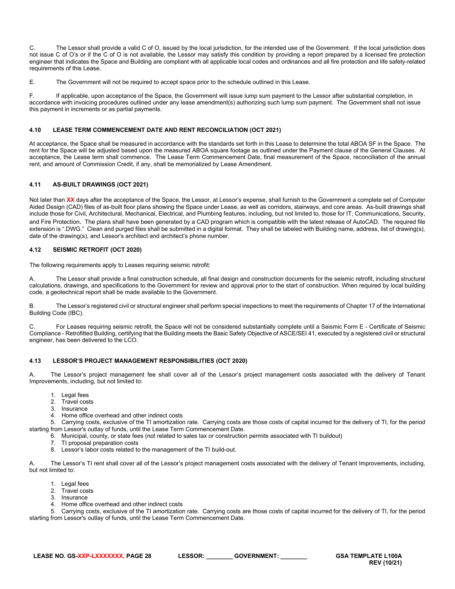C. The Lessor shall provide a valid C of O, issued by the local jurisdiction, for the intended use of the Government. If the local jurisdiction does not issue C of O's or if the C of O is not available, the Lessor may satisfy this condition by providing a report prepared by a licensed fire protection engineer that indicates the Space and Building are compliant with all applicable local codes and ordinances and all fire protection and life safety-related requirements of this Lease.

E. The Government will not be required to accept space prior to the schedule outlined in this Lease.

F. If applicable, upon acceptance of the Space, the Government will issue lump sum payment to the Lessor after substantial completion, in accordance with invoicing procedures outlined under any lease amendment(s) authorizing such lump sum payment. The Government shall not issue this payment in increments or as partial payments.

### <span id="page-27-0"></span>**4.10 LEASE TERM COMMENCEMENT DATE AND RENT RECONCILIATION (OCT 2021)**

At acceptance, the Space shall be measured in accordance with the standards set forth in this Lease to determine the total ABOA SF in the Space. The rent for the Space will be adjusted based upon the measured ABOA square footage as outlined under the Payment clause of the General Clauses. At acceptance, the Lease term shall commence. The Lease Term Commencement Date, final measurement of the Space, reconciliation of the annual rent, and amount of Commission Credit, if any, shall be memorialized by Lease Amendment.

### <span id="page-27-1"></span>**4.11 AS-BUILT DRAWINGS (OCT 2021)**

Not later than **XX** days after the acceptance of the Space, the Lessor, at Lessor's expense, shall furnish to the Government a complete set of Computer Aided Design (CAD) files of as-built floor plans showing the Space under Lease, as well as corridors, stairways, and core areas. As-built drawings shall include those for Civil, Architectural, Mechanical, Electrical, and Plumbing features, including, but not limited to, those for IT, Communications, Security, and Fire Protection. The plans shall have been generated by a CAD program which is compatible with the latest release of AutoCAD. The required file extension is ".DWG." Clean and purged files shall be submitted in a digital format. They shall be labeled with Building name, address, list of drawing(s), date of the drawing(s), and Lessor's architect and architect's phone number.

### <span id="page-27-2"></span>**4.12 SEISMIC RETROFIT (OCT 2020)**

The following requirements apply to Leases requiring seismic retrofit:

A. The Lessor shall provide a final construction schedule, all final design and construction documents for the seismic retrofit, including structural calculations, drawings, and specifications to the Government for review and approval prior to the start of construction. When required by local building code, a geotechnical report shall be made available to the Government.

B. The Lessor's registered civil or structural engineer shall perform special inspections to meet the requirements of Chapter 17 of the International Building Code (IBC).

C. For Leases requiring seismic retrofit, the Space will not be considered substantially complete until a Seismic Form E - Certificate of Seismic Compliance - Retrofitted Building, certifying that the Building meets the Basic Safety Objective of ASCE/SEI 41, executed by a registered civil or structural engineer, has been delivered to the LCO.

### <span id="page-27-3"></span>**4.13 LESSOR'S PROJECT MANAGEMENT RESPONSIBILITIES (OCT 2020)**

The Lessor's project management fee shall cover all of the Lessor's project management costs associated with the delivery of Tenant Improvements, including, but not limited to:

- 1. Legal fees
- 2. Travel costs<br>3. Insurance
- **Insurance**
- 4. Home office overhead and other indirect costs

5. Carrying costs, exclusive of the TI amortization rate. Carrying costs are those costs of capital incurred for the delivery of TI, for the period starting from Lessor's outlay of funds, until the Lease Term Commencement Date.

6. Municipal, county, or state fees (not related to sales tax or construction permits associated with TI buildout)

- 7. TI proposal preparation costs
- 8. Lessor's labor costs related to the management of the TI build-out.

A. The Lessor's TI rent shall cover all of the Lessor's project management costs associated with the delivery of Tenant Improvements, including, but not limited to:

- 1. Legal fees
- 2. Travel costs
- 3. Insurance
- 4. Home office overhead and other indirect costs

5. Carrying costs, exclusive of the TI amortization rate. Carrying costs are those costs of capital incurred for the delivery of TI, for the period starting from Lessor's outlay of funds, until the Lease Term Commencement Date.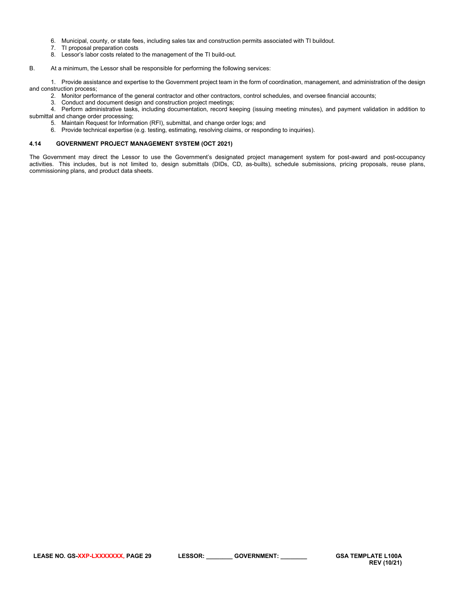- 6. Municipal, county, or state fees, including sales tax and construction permits associated with TI buildout.
- 7. TI proposal preparation costs
- 8. Lessor's labor costs related to the management of the TI build-out.

#### B. At a minimum, the Lessor shall be responsible for performing the following services:

1. Provide assistance and expertise to the Government project team in the form of coordination, management, and administration of the design and construction process;

2. Monitor performance of the general contractor and other contractors, control schedules, and oversee financial accounts;

3. Conduct and document design and construction project meetings;

4. Perform administrative tasks, including documentation, record keeping (issuing meeting minutes), and payment validation in addition to submittal and change order processing;

- 5. Maintain Request for Information (RFI), submittal, and change order logs; and
- 6. Provide technical expertise (e.g. testing, estimating, resolving claims, or responding to inquiries).

### <span id="page-28-0"></span>**4.14 GOVERNMENT PROJECT MANAGEMENT SYSTEM (OCT 2021)**

The Government may direct the Lessor to use the Government's designated project management system for post-award and post-occupancy activities. This includes, but is not limited to, design submittals (DIDs, CD, as-builts), schedule submissions, pricing proposals, reuse plans, commissioning plans, and product data sheets.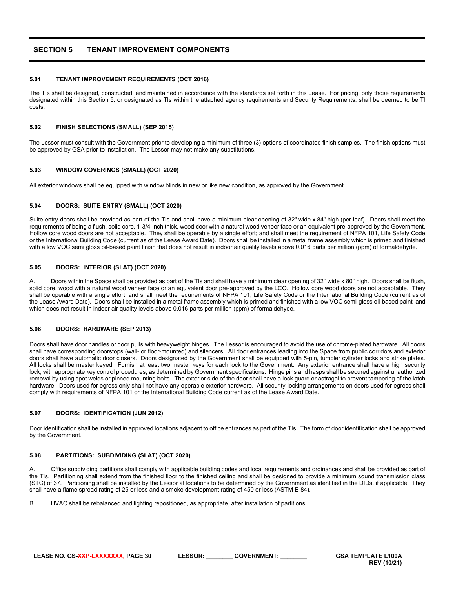# <span id="page-29-0"></span>**SECTION 5 TENANT IMPROVEMENT COMPONENTS**

#### <span id="page-29-1"></span>**5.01 TENANT IMPROVEMENT REQUIREMENTS (OCT 2016)**

The TIs shall be designed, constructed, and maintained in accordance with the standards set forth in this Lease. For pricing, only those requirements designated within this Section 5, or designated as TIs within the attached agency requirements and Security Requirements, shall be deemed to be TI costs.

#### <span id="page-29-2"></span>**5.02 FINISH SELECTIONS (SMALL) (SEP 2015)**

The Lessor must consult with the Government prior to developing a minimum of three (3) options of coordinated finish samples. The finish options must be approved by GSA prior to installation. The Lessor may not make any substitutions.

#### <span id="page-29-3"></span>**5.03 WINDOW COVERINGS (SMALL) (OCT 2020)**

All exterior windows shall be equipped with window blinds in new or like new condition, as approved by the Government.

#### <span id="page-29-4"></span>**5.04 DOORS: SUITE ENTRY (SMALL) (OCT 2020)**

Suite entry doors shall be provided as part of the TIs and shall have a minimum clear opening of 32" wide x 84" high (per leaf). Doors shall meet the requirements of being a flush, solid core, 1-3/4-inch thick, wood door with a natural wood veneer face or an equivalent pre-approved by the Government. Hollow core wood doors are not acceptable. They shall be operable by a single effort; and shall meet the requirement of NFPA 101, Life Safety Code or the International Building Code (current as of the Lease Award Date). Doors shall be installed in a metal frame assembly which is primed and finished with a low VOC semi gloss oil-based paint finish that does not result in indoor air quality levels above 0.016 parts per million (ppm) of formaldehyde.

#### <span id="page-29-5"></span>**5.05 DOORS: INTERIOR (SLAT) (OCT 2020)**

A. Doors within the Space shall be provided as part of the TIs and shall have a minimum clear opening of 32" wide x 80" high. Doors shall be flush, solid core, wood with a natural wood veneer face or an equivalent door pre-approved by the LCO. Hollow core wood doors are not acceptable. They shall be operable with a single effort, and shall meet the requirements of NFPA 101, Life Safety Code or the International Building Code (current as of the Lease Award Date). Doors shall be installed in a metal frame assembly which is primed and finished with a low VOC semi-gloss oil-based paint and which does not result in indoor air quality levels above 0.016 parts per million (ppm) of formaldehyde.

### <span id="page-29-6"></span>**5.06 DOORS: HARDWARE (SEP 2013)**

Doors shall have door handles or door pulls with heavyweight hinges. The Lessor is encouraged to avoid the use of chrome-plated hardware. All doors shall have corresponding doorstops (wall- or floor-mounted) and silencers. All door entrances leading into the Space from public corridors and exterior doors shall have automatic door closers. Doors designated by the Government shall be equipped with 5-pin, tumbler cylinder locks and strike plates. All locks shall be master keyed. Furnish at least two master keys for each lock to the Government. Any exterior entrance shall have a high security lock, with appropriate key control procedures, as determined by Government specifications. Hinge pins and hasps shall be secured against unauthorized removal by using spot welds or pinned mounting bolts. The exterior side of the door shall have a lock guard or astragal to prevent tampering of the latch hardware. Doors used for egress only shall not have any operable exterior hardware. All security-locking arrangements on doors used for egress shall comply with requirements of NFPA 101 or the International Building Code current as of the Lease Award Date.

#### <span id="page-29-7"></span>**5.07 DOORS: IDENTIFICATION (JUN 2012)**

Door identification shall be installed in approved locations adjacent to office entrances as part of the TIs. The form of door identification shall be approved by the Government.

#### <span id="page-29-8"></span>**5.08 PARTITIONS: SUBDIVIDING (SLAT) (OCT 2020)**

A. Office subdividing partitions shall comply with applicable building codes and local requirements and ordinances and shall be provided as part of the TIs. Partitioning shall extend from the finished floor to the finished ceiling and shall be designed to provide a minimum sound transmission class (STC) of 37. Partitioning shall be installed by the Lessor at locations to be determined by the Government as identified in the DIDs, if applicable. They shall have a flame spread rating of 25 or less and a smoke development rating of 450 or less (ASTM E-84).

B. HVAC shall be rebalanced and lighting repositioned, as appropriate, after installation of partitions.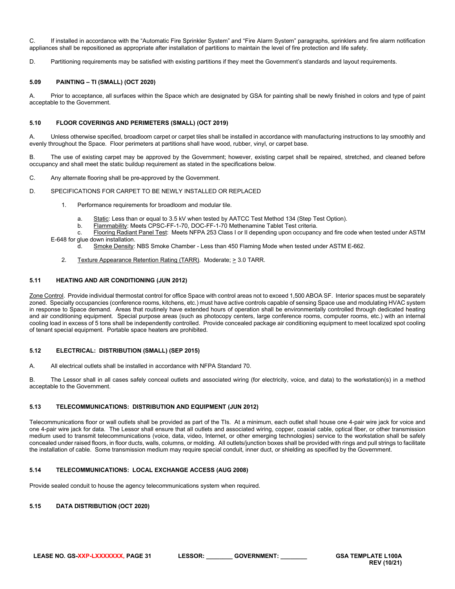C. If installed in accordance with the "Automatic Fire Sprinkler System" and "Fire Alarm System" paragraphs, sprinklers and fire alarm notification appliances shall be repositioned as appropriate after installation of partitions to maintain the level of fire protection and life safety.

D. Partitioning requirements may be satisfied with existing partitions if they meet the Government's standards and layout requirements.

#### <span id="page-30-0"></span>**5.09 PAINTING – TI (SMALL) (OCT 2020)**

A. Prior to acceptance, all surfaces within the Space which are designated by GSA for painting shall be newly finished in colors and type of paint acceptable to the Government.

#### <span id="page-30-1"></span>**5.10 FLOOR COVERINGS AND PERIMETERS (SMALL) (OCT 2019)**

A. Unless otherwise specified, broadloom carpet or carpet tiles shall be installed in accordance with manufacturing instructions to lay smoothly and evenly throughout the Space. Floor perimeters at partitions shall have wood, rubber, vinyl, or carpet base.

B. The use of existing carpet may be approved by the Government; however, existing carpet shall be repaired, stretched, and cleaned before occupancy and shall meet the static buildup requirement as stated in the specifications below.

C. Any alternate flooring shall be pre-approved by the Government.

- D. SPECIFICATIONS FOR CARPET TO BE NEWLY INSTALLED OR REPLACED
	- 1. Performance requirements for broadloom and modular tile.
		- a. Static: Less than or equal to 3.5 kV when tested by AATCC Test Method 134 (Step Test Option).
		- b. Flammability: Meets CPSC-FF-1-70, DOC-FF-1-70 Methenamine Tablet Test criteria.

c. Flooring Radiant Panel Test: Meets NFPA 253 Class I or II depending upon occupancy and fire code when tested under ASTM E-648 for glue down installation.

- d. Smoke Density: NBS Smoke Chamber Less than 450 Flaming Mode when tested under ASTM E-662.
- 2. Texture Appearance Retention Rating (TARR). Moderate;  $\geq 3.0$  TARR.

#### <span id="page-30-2"></span>**5.11 HEATING AND AIR CONDITIONING (JUN 2012)**

Zone Control. Provide individual thermostat control for office Space with control areas not to exceed 1,500 ABOA SF. Interior spaces must be separately zoned. Specialty occupancies (conference rooms, kitchens, etc.) must have active controls capable of sensing Space use and modulating HVAC system in response to Space demand. Areas that routinely have extended hours of operation shall be environmentally controlled through dedicated heating and air conditioning equipment. Special purpose areas (such as photocopy centers, large conference rooms, computer rooms, etc.) with an internal cooling load in excess of 5 tons shall be independently controlled. Provide concealed package air conditioning equipment to meet localized spot cooling of tenant special equipment. Portable space heaters are prohibited.

#### <span id="page-30-3"></span>**5.12 ELECTRICAL: DISTRIBUTION (SMALL) (SEP 2015)**

A. All electrical outlets shall be installed in accordance with NFPA Standard 70.

B. The Lessor shall in all cases safely conceal outlets and associated wiring (for electricity, voice, and data) to the workstation(s) in a method acceptable to the Government.

#### <span id="page-30-4"></span>**5.13 TELECOMMUNICATIONS: DISTRIBUTION AND EQUIPMENT (JUN 2012)**

Telecommunications floor or wall outlets shall be provided as part of the TIs. At a minimum, each outlet shall house one 4-pair wire jack for voice and one 4-pair wire jack for data. The Lessor shall ensure that all outlets and associated wiring, copper, coaxial cable, optical fiber, or other transmission medium used to transmit telecommunications (voice, data, video, Internet, or other emerging technologies) service to the workstation shall be safely concealed under raised floors, in floor ducts, walls, columns, or molding. All outlets/junction boxes shall be provided with rings and pull strings to facilitate the installation of cable. Some transmission medium may require special conduit, inner duct, or shielding as specified by the Government.

#### <span id="page-30-5"></span>**5.14 TELECOMMUNICATIONS: LOCAL EXCHANGE ACCESS (AUG 2008)**

Provide sealed conduit to house the agency telecommunications system when required.

### <span id="page-30-6"></span>**5.15 DATA DISTRIBUTION (OCT 2020)**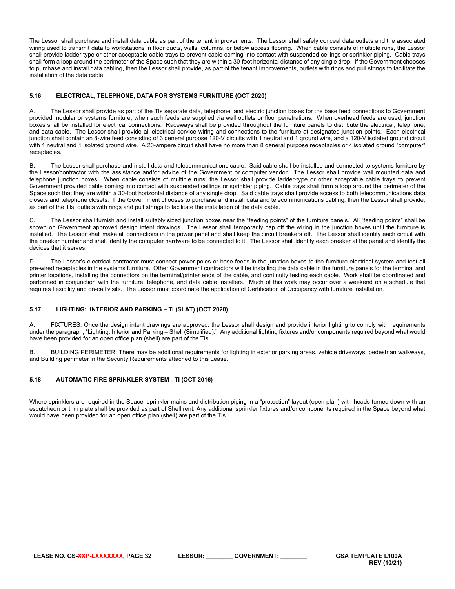The Lessor shall purchase and install data cable as part of the tenant improvements. The Lessor shall safely conceal data outlets and the associated wiring used to transmit data to workstations in floor ducts, walls, columns, or below access flooring. When cable consists of multiple runs, the Lessor shall provide ladder type or other acceptable cable trays to prevent cable coming into contact with suspended ceilings or sprinkler piping. Cable trays shall form a loop around the perimeter of the Space such that they are within a 30-foot horizontal distance of any single drop. If the Government chooses to purchase and install data cabling, then the Lessor shall provide, as part of the tenant improvements, outlets with rings and pull strings to facilitate the installation of the data cable.

### <span id="page-31-0"></span>**5.16 ELECTRICAL, TELEPHONE, DATA FOR SYSTEMS FURNITURE (OCT 2020)**

A. The Lessor shall provide as part of the TIs separate data, telephone, and electric junction boxes for the base feed connections to Government provided modular or systems furniture, when such feeds are supplied via wall outlets or floor penetrations. When overhead feeds are used, junction boxes shall be installed for electrical connections. Raceways shall be provided throughout the furniture panels to distribute the electrical, telephone, and data cable. The Lessor shall provide all electrical service wiring and connections to the furniture at designated junction points. Each electrical junction shall contain an 8-wire feed consisting of 3 general purpose 120-V circuits with 1 neutral and 1 ground wire, and a 120-V isolated ground circuit with 1 neutral and 1 isolated ground wire. A 20-ampere circuit shall have no more than 8 general purpose receptacles or 4 isolated ground "computer" receptacles.

B. The Lessor shall purchase and install data and telecommunications cable. Said cable shall be installed and connected to systems furniture by the Lessor/contractor with the assistance and/or advice of the Government or computer vendor. The Lessor shall provide wall mounted data and telephone junction boxes. When cable consists of multiple runs, the Lessor shall provide ladder-type or other acceptable cable trays to prevent Government provided cable coming into contact with suspended ceilings or sprinkler piping. Cable trays shall form a loop around the perimeter of the Space such that they are within a 30-foot horizontal distance of any single drop. Said cable trays shall provide access to both telecommunications data closets and telephone closets. If the Government chooses to purchase and install data and telecommunications cabling, then the Lessor shall provide, as part of the TIs, outlets with rings and pull strings to facilitate the installation of the data cable.

C. The Lessor shall furnish and install suitably sized junction boxes near the "feeding points" of the furniture panels. All "feeding points" shall be shown on Government approved design intent drawings. The Lessor shall temporarily cap off the wiring in the junction boxes until the furniture is installed. The Lessor shall make all connections in the power panel and shall keep the circuit breakers off. The Lessor shall identify each circuit with the breaker number and shall identify the computer hardware to be connected to it. The Lessor shall identify each breaker at the panel and identify the devices that it serves.

D. The Lessor's electrical contractor must connect power poles or base feeds in the junction boxes to the furniture electrical system and test all pre-wired receptacles in the systems furniture. Other Government contractors will be installing the data cable in the furniture panels for the terminal and printer locations, installing the connectors on the terminal/printer ends of the cable, and continuity testing each cable. Work shall be coordinated and performed in conjunction with the furniture, telephone, and data cable installers. Much of this work may occur over a weekend on a schedule that requires flexibility and on-call visits. The Lessor must coordinate the application of Certification of Occupancy with furniture installation.

### <span id="page-31-1"></span>**5.17 LIGHTING: INTERIOR AND PARKING – TI (SLAT) (OCT 2020)**

A. FIXTURES: Once the design intent drawings are approved, the Lessor shall design and provide interior lighting to comply with requirements under the paragraph, "Lighting: Interior and Parking – Shell (Simplified)." Any additional lighting fixtures and/or components required beyond what would have been provided for an open office plan (shell) are part of the TIs.

B. BUILDING PERIMETER: There may be additional requirements for lighting in exterior parking areas, vehicle driveways, pedestrian walkways, and Building perimeter in the Security Requirements attached to this Lease.

### <span id="page-31-2"></span>**5.18 AUTOMATIC FIRE SPRINKLER SYSTEM - TI (OCT 2016)**

Where sprinklers are required in the Space, sprinkler mains and distribution piping in a "protection" layout (open plan) with heads turned down with an escutcheon or trim plate shall be provided as part of Shell rent. Any additional sprinkler fixtures and/or components required in the Space beyond what would have been provided for an open office plan (shell) are part of the TIs.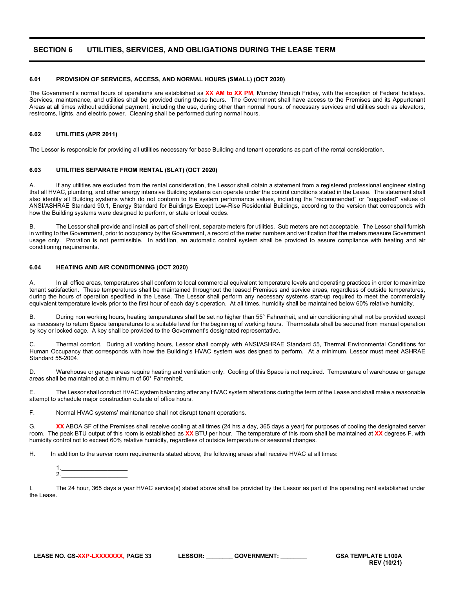# <span id="page-32-0"></span>**SECTION 6 UTILITIES, SERVICES, AND OBLIGATIONS DURING THE LEASE TERM**

### <span id="page-32-1"></span>**6.01 PROVISION OF SERVICES, ACCESS, AND NORMAL HOURS (SMALL) (OCT 2020)**

The Government's normal hours of operations are established as **XX AM to XX PM**, Monday through Friday, with the exception of Federal holidays. Services, maintenance, and utilities shall be provided during these hours. The Government shall have access to the Premises and its Appurtenant Areas at all times without additional payment, including the use, during other than normal hours, of necessary services and utilities such as elevators, restrooms, lights, and electric power. Cleaning shall be performed during normal hours.

### <span id="page-32-2"></span>**6.02 UTILITIES (APR 2011)**

The Lessor is responsible for providing all utilities necessary for base Building and tenant operations as part of the rental consideration.

#### <span id="page-32-3"></span>**6.03 UTILITIES SEPARATE FROM RENTAL (SLAT) (OCT 2020)**

A. If any utilities are excluded from the rental consideration, the Lessor shall obtain a statement from a registered professional engineer stating that all HVAC, plumbing, and other energy intensive Building systems can operate under the control conditions stated in the Lease. The statement shall also identify all Building systems which do not conform to the system performance values, including the "recommended" or "suggested" values of ANSI/ASHRAE Standard 90.1, Energy Standard for Buildings Except Low-Rise Residential Buildings, according to the version that corresponds with how the Building systems were designed to perform, or state or local codes.

B. The Lessor shall provide and install as part of shell rent, separate meters for utilities. Sub meters are not acceptable. The Lessor shall furnish in writing to the Government, prior to occupancy by the Government, a record of the meter numbers and verification that the meters measure Government usage only. Proration is not permissible. In addition, an automatic control system shall be provided to assure compliance with heating and air conditioning requirements.

### <span id="page-32-4"></span>**6.04 HEATING AND AIR CONDITIONING (OCT 2020)**

A. In all office areas, temperatures shall conform to local commercial equivalent temperature levels and operating practices in order to maximize tenant satisfaction. These temperatures shall be maintained throughout the leased Premises and service areas, regardless of outside temperatures, during the hours of operation specified in the Lease. The Lessor shall perform any necessary systems start-up required to meet the commercially equivalent temperature levels prior to the first hour of each day's operation. At all times, humidity shall be maintained below 60% relative humidity.

B. During non working hours, heating temperatures shall be set no higher than 55° Fahrenheit, and air conditioning shall not be provided except as necessary to return Space temperatures to a suitable level for the beginning of working hours. Thermostats shall be secured from manual operation by key or locked cage. A key shall be provided to the Government's designated representative.

C. Thermal comfort. During all working hours, Lessor shall comply with ANSI/ASHRAE Standard 55, Thermal Environmental Conditions for Human Occupancy that corresponds with how the Building's HVAC system was designed to perform. At a minimum, Lessor must meet ASHRAE Standard 55-2004.

D. Warehouse or garage areas require heating and ventilation only. Cooling of this Space is not required. Temperature of warehouse or garage areas shall be maintained at a minimum of 50° Fahrenheit.

E. The Lessor shall conduct HVAC system balancing after any HVAC system alterations during the term of the Lease and shall make a reasonable attempt to schedule major construction outside of office hours.

F. Normal HVAC systems' maintenance shall not disrupt tenant operations.

G. **XX** ABOA SF of the Premises shall receive cooling at all times (24 hrs a day, 365 days a year) for purposes of cooling the designated server room. The peak BTU output of this room is established as **XX** BTU per hour. The temperature of this room shall be maintained at **XX** degrees F, with humidity control not to exceed 60% relative humidity, regardless of outside temperature or seasonal changes.

H. In addition to the server room requirements stated above, the following areas shall receive HVAC at all times:

1.\_\_\_\_\_\_\_\_\_\_\_\_\_\_\_\_\_\_\_\_ 2.\_\_\_\_\_\_\_\_\_\_\_\_\_\_\_\_\_\_\_\_

I. The 24 hour, 365 days a year HVAC service(s) stated above shall be provided by the Lessor as part of the operating rent established under the Lease.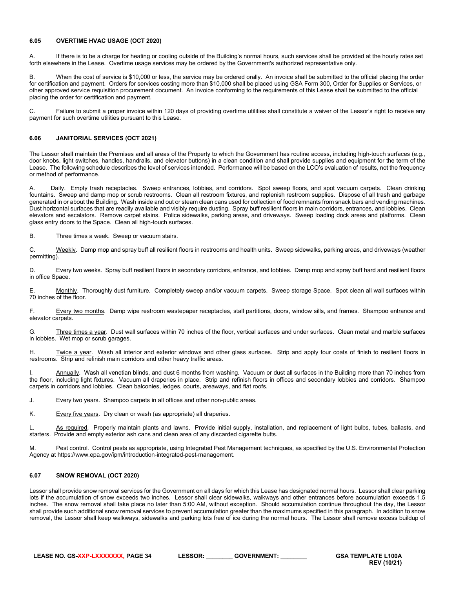#### <span id="page-33-0"></span>**6.05 OVERTIME HVAC USAGE (OCT 2020)**

A. If there is to be a charge for heating or cooling outside of the Building's normal hours, such services shall be provided at the hourly rates set forth elsewhere in the Lease. Overtime usage services may be ordered by the Government's authorized representative only.

B. When the cost of service is \$10,000 or less, the service may be ordered orally. An invoice shall be submitted to the official placing the order for certification and payment. Orders for services costing more than \$10,000 shall be placed using GSA Form 300, Order for Supplies or Services, or other approved service requisition procurement document. An invoice conforming to the requirements of this Lease shall be submitted to the official placing the order for certification and payment.

C. Failure to submit a proper invoice within 120 days of providing overtime utilities shall constitute a waiver of the Lessor's right to receive any payment for such overtime utilities pursuant to this Lease.

### <span id="page-33-1"></span>**6.06 JANITORIAL SERVICES (OCT 2021)**

The Lessor shall maintain the Premises and all areas of the Property to which the Government has routine access, including high-touch surfaces (e.g., door knobs, light switches, handles, handrails, and elevator buttons) in a clean condition and shall provide supplies and equipment for the term of the Lease. The following schedule describes the level of services intended. Performance will be based on the LCO's evaluation of results, not the frequency or method of performance.

Daily. Empty trash receptacles. Sweep entrances, lobbies, and corridors. Spot sweep floors, and spot vacuum carpets. Clean drinking fountains. Sweep and damp mop or scrub restrooms. Clean all restroom fixtures, and replenish restroom supplies. Dispose of all trash and garbage generated in or about the Building. Wash inside and out or steam clean cans used for collection of food remnants from snack bars and vending machines. Dust horizontal surfaces that are readily available and visibly require dusting. Spray buff resilient floors in main corridors, entrances, and lobbies. Clean elevators and escalators. Remove carpet stains. Police sidewalks, parking areas, and driveways. Sweep loading dock areas and platforms. Clean glass entry doors to the Space. Clean all high-touch surfaces.

B. Three times a week. Sweep or vacuum stairs.

C. Weekly. Damp mop and spray buff all resilient floors in restrooms and health units. Sweep sidewalks, parking areas, and driveways (weather permitting).

D. Every two weeks. Spray buff resilient floors in secondary corridors, entrance, and lobbies. Damp mop and spray buff hard and resilient floors in office Space.

E. Monthly. Thoroughly dust furniture. Completely sweep and/or vacuum carpets. Sweep storage Space. Spot clean all wall surfaces within 70 inches of the floor.

F. Every two months. Damp wipe restroom wastepaper receptacles, stall partitions, doors, window sills, and frames. Shampoo entrance and elevator carpets.

G. Three times a year. Dust wall surfaces within 70 inches of the floor, vertical surfaces and under surfaces. Clean metal and marble surfaces in lobbies. Wet mop or scrub garages.

H. Twice a year. Wash all interior and exterior windows and other glass surfaces. Strip and apply four coats of finish to resilient floors in restrooms. Strip and refinish main corridors and other heavy traffic areas.

Annually. Wash all venetian blinds, and dust 6 months from washing. Vacuum or dust all surfaces in the Building more than 70 inches from the floor, including light fixtures. Vacuum all draperies in place. Strip and refinish floors in offices and secondary lobbies and corridors. Shampoo carpets in corridors and lobbies. Clean balconies, ledges, courts, areaways, and flat roofs.

J. Every two years. Shampoo carpets in all offices and other non-public areas.

K. Every five years. Dry clean or wash (as appropriate) all draperies.

L. As required. Properly maintain plants and lawns. Provide initial supply, installation, and replacement of light bulbs, tubes, ballasts, and starters. Provide and empty exterior ash cans and clean area of any discarded cigarette butts.

M. Pest control. Control pests as appropriate, using Integrated Pest Management techniques, as specified by the U.S. Environmental Protection Agency at https://www.epa.gov/ipm/introduction-integrated-pest-management.

### <span id="page-33-2"></span>**6.07 SNOW REMOVAL (OCT 2020)**

Lessor shall provide snow removal services for the Government on all days for which this Lease has designated normal hours. Lessor shall clear parking lots if the accumulation of snow exceeds two inches. Lessor shall clear sidewalks, walkways and other entrances before accumulation exceeds 1.5 inches. The snow removal shall take place no later than 5:00 AM, without exception. Should accumulation continue throughout the day, the Lessor shall provide such additional snow removal services to prevent accumulation greater than the maximums specified in this paragraph. In addition to snow removal, the Lessor shall keep walkways, sidewalks and parking lots free of ice during the normal hours. The Lessor shall remove excess buildup of

**LEASE NO. GS-XXP-LXXXXXXX, PAGE 34 LESSOR: \_\_\_\_\_\_\_\_ GOVERNMENT: \_\_\_\_\_\_\_\_ GSA TEMPLATE L100A**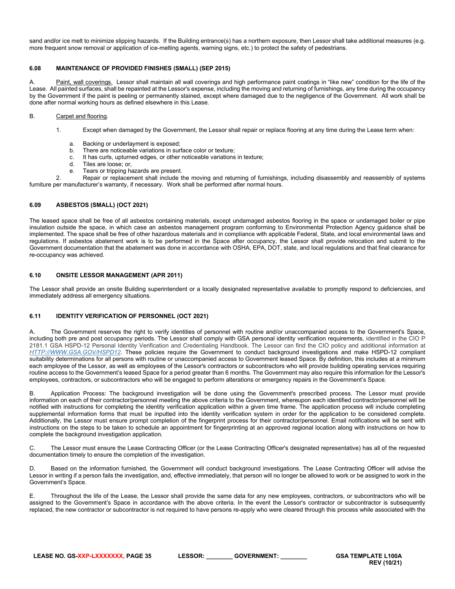sand and/or ice melt to minimize slipping hazards. If the Building entrance(s) has a northern exposure, then Lessor shall take additional measures (e.g. more frequent snow removal or application of ice-melting agents, warning signs, etc.) to protect the safety of pedestrians.

### <span id="page-34-0"></span>**6.08 MAINTENANCE OF PROVIDED FINISHES (SMALL) (SEP 2015)**

Paint, wall coverings. Lessor shall maintain all wall coverings and high performance paint coatings in "like new" condition for the life of the Lease. All painted surfaces, shall be repainted at the Lessor's expense, including the moving and returning of furnishings, any time during the occupancy by the Government if the paint is peeling or permanently stained, except where damaged due to the negligence of the Government. All work shall be done after normal working hours as defined elsewhere in this Lease.

### B. Carpet and flooring.

- 1. Except when damaged by the Government, the Lessor shall repair or replace flooring at any time during the Lease term when:
	- a. Backing or underlayment is exposed;
	- b. There are noticeable variations in surface color or texture;
	- c. It has curls, upturned edges, or other noticeable variations in texture;
	- d. Tiles are loose; or,
	- e. Tears or tripping hazards are present.

2. Repair or replacement shall include the moving and returning of furnishings, including disassembly and reassembly of systems furniture per manufacturer's warranty, if necessary. Work shall be performed after normal hours.

### <span id="page-34-1"></span>**6.09 ASBESTOS (SMALL) (OCT 2021)**

The leased space shall be free of all asbestos containing materials, except undamaged asbestos flooring in the space or undamaged boiler or pipe insulation outside the space, in which case an asbestos management program conforming to Environmental Protection Agency guidance shall be implemented. The space shall be free of other hazardous materials and in compliance with applicable Federal, State, and local environmental laws and regulations. If asbestos abatement work is to be performed in the Space after occupancy, the Lessor shall provide relocation and submit to the Government documentation that the abatement was done in accordance with OSHA, EPA, DOT, state, and local regulations and that final clearance for re-occupancy was achieved.

### <span id="page-34-2"></span>**6.10 ONSITE LESSOR MANAGEMENT (APR 2011)**

The Lessor shall provide an onsite Building superintendent or a locally designated representative available to promptly respond to deficiencies, and immediately address all emergency situations.

### <span id="page-34-3"></span>**6.11 IDENTITY VERIFICATION OF PERSONNEL (OCT 2021)**

A. The Government reserves the right to verify identities of personnel with routine and/or unaccompanied access to the Government's Space, including both pre and post occupancy periods. The Lessor shall comply with GSA personal identity verification requirements, identified in the CIO P 2181.1 GSA HSPD-12 Personal Identity Verification and Credentialing Handbook. The Lessor can find the CIO policy and additional information at *[HTTP://WWW.GSA.GOV/HSPD12](http://www.gsa.gov/hspd12)*. These policies require the Government to conduct background investigations and make HSPD-12 compliant suitability determinations for all persons with routine or unaccompanied access to Government leased Space. By definition, this includes at a minimum each employee of the Lessor, as well as employees of the Lessor's contractors or subcontractors who will provide building operating services requiring routine access to the Government's leased Space for a period greater than 6 months. The Government may also require this information for the Lessor's employees, contractors, or subcontractors who will be engaged to perform alterations or emergency repairs in the Government's Space.

B. Application Process: The background investigation will be done using the Government's prescribed process. The Lessor must provide information on each of their contractor/personnel meeting the above criteria to the Government, whereupon each identified contractor/personnel will be notified with instructions for completing the identity verification application within a given time frame. The application process will include completing supplemental information forms that must be inputted into the identity verification system in order for the application to be considered complete. Additionally, the Lessor must ensure prompt completion of the fingerprint process for their contractor/personnel. Email notifications will be sent with instructions on the steps to be taken to schedule an appointment for fingerprinting at an approved regional location along with instructions on how to complete the background investigation application.

C. The Lessor must ensure the Lease Contracting Officer (or the Lease Contracting Officer's designated representative) has all of the requested documentation timely to ensure the completion of the investigation.

D. Based on the information furnished, the Government will conduct background investigations. The Lease Contracting Officer will advise the Lessor in writing if a person fails the investigation, and, effective immediately, that person will no longer be allowed to work or be assigned to work in the Government's Space.

E. Throughout the life of the Lease, the Lessor shall provide the same data for any new employees, contractors, or subcontractors who will be assigned to the Government's Space in accordance with the above criteria. In the event the Lessor's contractor or subcontractor is subsequently replaced, the new contractor or subcontractor is not required to have persons re-apply who were cleared through this process while associated with the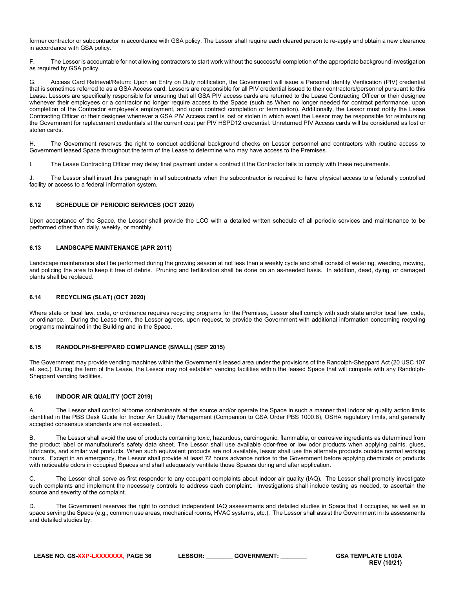former contractor or subcontractor in accordance with GSA policy. The Lessor shall require each cleared person to re-apply and obtain a new clearance in accordance with GSA policy.

F. The Lessor is accountable for not allowing contractors to start work without the successful completion of the appropriate background investigation as required by GSA policy.

G. Access Card Retrieval/Return: Upon an Entry on Duty notification, the Government will issue a Personal Identity Verification (PIV) credential that is sometimes referred to as a GSA Access card. Lessors are responsible for all PIV credential issued to their contractors/personnel pursuant to this Lease. Lessors are specifically responsible for ensuring that all GSA PIV access cards are returned to the Lease Contracting Officer or their designee whenever their employees or a contractor no longer require access to the Space (such as When no longer needed for contract performance, upon completion of the Contractor employee's employment, and upon contract completion or termination). Additionally, the Lessor must notify the Lease Contracting Officer or their designee whenever a GSA PIV Access card is lost or stolen in which event the Lessor may be responsible for reimbursing the Government for replacement credentials at the current cost per PIV HSPD12 credential. Unreturned PIV Access cards will be considered as lost or stolen cards.

H. The Government reserves the right to conduct additional background checks on Lessor personnel and contractors with routine access to Government leased Space throughout the term of the Lease to determine who may have access to the Premises.

I. The Lease Contracting Officer may delay final payment under a contract if the Contractor fails to comply with these requirements.

J. The Lessor shall insert this paragraph in all subcontracts when the subcontractor is required to have physical access to a federally controlled facility or access to a federal information system.

### <span id="page-35-0"></span>**6.12 SCHEDULE OF PERIODIC SERVICES (OCT 2020)**

Upon acceptance of the Space, the Lessor shall provide the LCO with a detailed written schedule of all periodic services and maintenance to be performed other than daily, weekly, or monthly.

### <span id="page-35-1"></span>**6.13 LANDSCAPE MAINTENANCE (APR 2011)**

Landscape maintenance shall be performed during the growing season at not less than a weekly cycle and shall consist of watering, weeding, mowing, and policing the area to keep it free of debris. Pruning and fertilization shall be done on an as-needed basis. In addition, dead, dying, or damaged plants shall be replaced.

#### <span id="page-35-2"></span>**6.14 RECYCLING (SLAT) (OCT 2020)**

Where state or local law, code, or ordinance requires recycling programs for the Premises, Lessor shall comply with such state and/or local law, code, or ordinance. During the Lease term, the Lessor agrees, upon request, to provide the Government with additional information concerning recycling programs maintained in the Building and in the Space.

#### <span id="page-35-3"></span>**6.15 RANDOLPH-SHEPPARD COMPLIANCE (SMALL) (SEP 2015)**

The Government may provide vending machines within the Government's leased area under the provisions of the Randolph-Sheppard Act (20 USC 107 et. seq.). During the term of the Lease, the Lessor may not establish vending facilities within the leased Space that will compete with any Randolph-Sheppard vending facilities.

### <span id="page-35-4"></span>**6.16 INDOOR AIR QUALITY (OCT 2019)**

The Lessor shall control airborne contaminants at the source and/or operate the Space in such a manner that indoor air quality action limits identified in the PBS Desk Guide for Indoor Air Quality Management (Companion to GSA Order PBS 1000.8), OSHA regulatory limits, and generally accepted consensus standards are not exceeded..

B. The Lessor shall avoid the use of products containing toxic, hazardous, carcinogenic, flammable, or corrosive ingredients as determined from the product label or manufacturer's safety data sheet. The Lessor shall use available odor-free or low odor products when applying paints, glues, lubricants, and similar wet products. When such equivalent products are not available, lessor shall use the alternate products outside normal working hours. Except in an emergency, the Lessor shall provide at least 72 hours advance notice to the Government before applying chemicals or products with noticeable odors in occupied Spaces and shall adequately ventilate those Spaces during and after application.

C. The Lessor shall serve as first responder to any occupant complaints about indoor air quality (IAQ). The Lessor shall promptly investigate such complaints and implement the necessary controls to address each complaint. Investigations shall include testing as needed, to ascertain the source and severity of the complaint.

D. The Government reserves the right to conduct independent IAQ assessments and detailed studies in Space that it occupies, as well as in space serving the Space (e.g., common use areas, mechanical rooms, HVAC systems, etc.). The Lessor shall assist the Government in its assessments and detailed studies by:

**LEASE NO. GS-XXP-LXXXXXXX, PAGE 36 LESSOR: \_\_\_\_\_\_\_\_ GOVERNMENT: \_\_\_\_\_\_\_\_ GSA TEMPLATE L100A**

**REV (10/21)**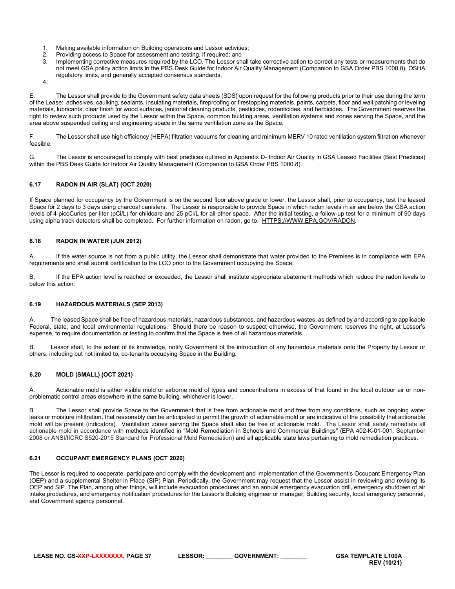- 1. Making available information on Building operations and Lessor activities;
- 2. Providing access to Space for assessment and testing, if required; and<br>3. Implementing corrective measures required by the LCO. The Lessor sh
- Implementing corrective measures required by the LCO. The Lessor shall take corrective action to correct any tests or measurements that do not meet GSA policy action limits in the PBS Desk Guide for Indoor Air Quality Management (Companion to GSA Order PBS 1000.8), OSHA regulatory limits, and generally accepted consensus standards.

4.

E. The Lessor shall provide to the Government safety data sheets (SDS) upon request for the following products prior to their use during the term of the Lease: adhesives, caulking, sealants, insulating materials, fireproofing or firestopping materials, paints, carpets, floor and wall patching or leveling materials, lubricants, clear finish for wood surfaces, janitorial cleaning products, pesticides, rodenticides, and herbicides. The Government reserves the right to review such products used by the Lessor within the Space, common building areas, ventilation systems and zones serving the Space, and the area above suspended ceiling and engineering space in the same ventilation zone as the Space.

F. The Lessor shall use high efficiency (HEPA) filtration vacuums for cleaning and minimum MERV 10 rated ventilation system filtration whenever feasible.

G. The Lessor is encouraged to comply with best practices outlined in Appendix D- Indoor Air Quality in GSA Leased Facilities (Best Practices) within the PBS Desk Guide for Indoor Air Quality Management (Companion to GSA Order PBS 1000.8).

## <span id="page-36-0"></span>**6.17 RADON IN AIR (SLAT) (OCT 2020)**

If Space planned for occupancy by the Government is on the second floor above grade or lower, the Lessor shall, prior to occupancy, test the leased Space for 2 days to 3 days using charcoal canisters. The Lessor is responsible to provide Space in which radon levels in air are below the GSA action levels of 4 picoCuries per liter (pCi/L) for childcare and 25 pCi/L for all other space. After the initial testing, a follow-up test for a minimum of 90 days using alpha track detectors shall be completed. For further information on radon, go to: HTTPS://WWW.EPA.GOV/RADON.

### <span id="page-36-1"></span>**6.18 RADON IN WATER (JUN 2012)**

A. If the water source is not from a public utility, the Lessor shall demonstrate that water provided to the Premises is in compliance with EPA requirements and shall submit certification to the LCO prior to the Government occupying the Space.

B. If the EPA action level is reached or exceeded, the Lessor shall institute appropriate abatement methods which reduce the radon levels to below this action.

### <span id="page-36-2"></span>**6.19 HAZARDOUS MATERIALS (SEP 2013)**

The leased Space shall be free of hazardous materials, hazardous substances, and hazardous wastes, as defined by and according to applicable Federal, state, and local environmental regulations. Should there be reason to suspect otherwise, the Government reserves the right, at Lessor's expense, to require documentation or testing to confirm that the Space is free of all hazardous materials.

B. Lessor shall, to the extent of its knowledge, notify Government of the introduction of any hazardous materials onto the Property by Lessor or others, including but not limited to, co-tenants occupying Space in the Building.

### <span id="page-36-3"></span>**6.20 MOLD (SMALL) (OCT 2021)**

A. Actionable mold is either visible mold or airborne mold of types and concentrations in excess of that found in the local outdoor air or nonproblematic control areas elsewhere in the same building, whichever is lower.

B. The Lessor shall provide Space to the Government that is free from actionable mold and free from any conditions, such as ongoing water leaks or moisture infiltration, that reasonably can be anticipated to permit the growth of actionable mold or are indicative of the possibility that actionable mold will be present (indicators). Ventilation zones serving the Space shall also be free of actionable mold. The Lessor shall safely remediate all actionable mold in accordance with methods identified in "Mold Remediation in Schools and Commercial Buildings" (EPA 402-K-01-001, September 2008 or ANSI/IICRC S520-2015 Standard for Professional Mold Remediation) and all applicable state laws pertaining to mold remediation practices.

### <span id="page-36-4"></span>**6.21 OCCUPANT EMERGENCY PLANS (OCT 2020)**

The Lessor is required to cooperate, participate and comply with the development and implementation of the Government's Occupant Emergency Plan (OEP) and a supplemental Shelter-in Place (SIP) Plan. Periodically, the Government may request that the Lessor assist in reviewing and revising its OEP and SIP. The Plan, among other things, will include evacuation procedures and an annual emergency evacuation drill, emergency shutdown of air intake procedures, and emergency notification procedures for the Lessor's Building engineer or manager, Building security, local emergency personnel, and Government agency personnel.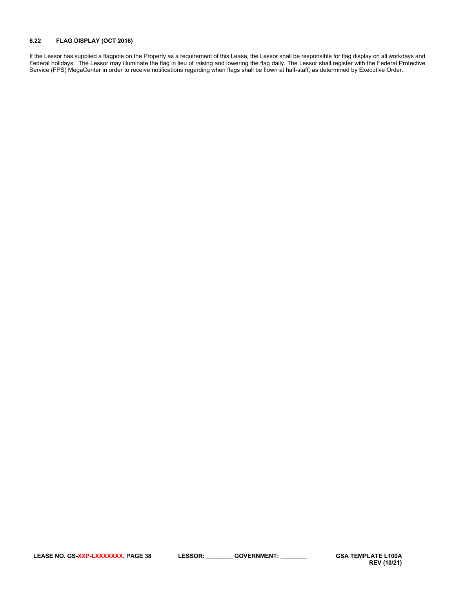## <span id="page-37-0"></span>**6.22 FLAG DISPLAY (OCT 2016)**

If the Lessor has supplied a flagpole on the Property as a requirement of this Lease, the Lessor shall be responsible for flag display on all workdays and Federal holidays. The Lessor may illuminate the flag in lieu of raising and lowering the flag daily. The Lessor shall register with the Federal Protective Service (FPS) MegaCenter in order to receive notifications regarding when flags shall be flown at half-staff, as determined by Executive Order.